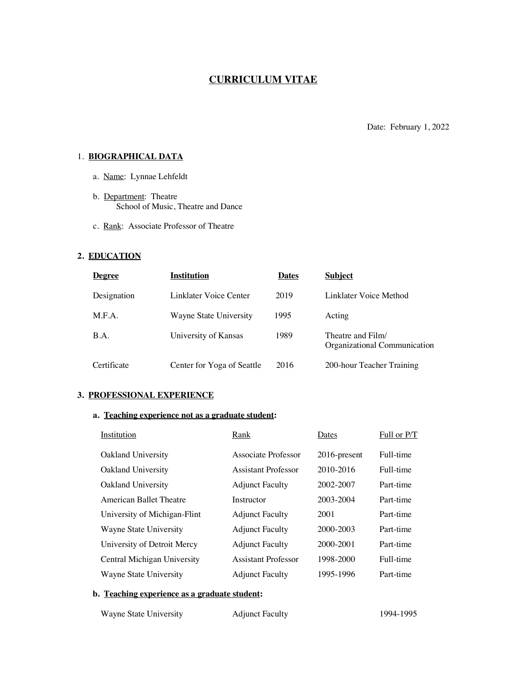# **CURRICULUM VITAE**

Date: February 1, 2022

## 1. **BIOGRAPHICAL DATA**

- a. Name: Lynnae Lehfeldt
- b. Department: Theatre School of Music, Theatre and Dance
- c. Rank: Associate Professor of Theatre

## **2. EDUCATION**

| Degree      | <b>Institution</b>         | <b>Dates</b> | <b>Subject</b>                                    |
|-------------|----------------------------|--------------|---------------------------------------------------|
| Designation | Linklater Voice Center     | 2019         | Linklater Voice Method                            |
| M.F.A.      | Wayne State University     | 1995         | Acting                                            |
| B.A.        | University of Kansas       | 1989         | Theatre and Film/<br>Organizational Communication |
| Certificate | Center for Yoga of Seattle | 2016         | 200-hour Teacher Training                         |

### **3. PROFESSIONAL EXPERIENCE**

#### **a. Teaching experience not as a graduate student:**

| Institution                  | Rank                       | Dates        | Full or P/T |
|------------------------------|----------------------------|--------------|-------------|
| Oakland University           | Associate Professor        | 2016-present | Full-time   |
| Oakland University           | <b>Assistant Professor</b> | 2010-2016    | Full-time   |
| Oakland University           | <b>Adjunct Faculty</b>     | 2002-2007    | Part-time   |
| American Ballet Theatre      | Instructor                 | 2003-2004    | Part-time   |
| University of Michigan-Flint | <b>Adjunct Faculty</b>     | 2001         | Part-time   |
| Wayne State University       | <b>Adjunct Faculty</b>     | 2000-2003    | Part-time   |
| University of Detroit Mercy  | <b>Adjunct Faculty</b>     | 2000-2001    | Part-time   |
| Central Michigan University  | <b>Assistant Professor</b> | 1998-2000    | Full-time   |
| Wayne State University       | <b>Adjunct Faculty</b>     | 1995-1996    | Part-time   |

## **b. Teaching experience as a graduate student:**

| Wayne State University | Adjunct Fact |
|------------------------|--------------|
|                        |              |

ulty 1994-1995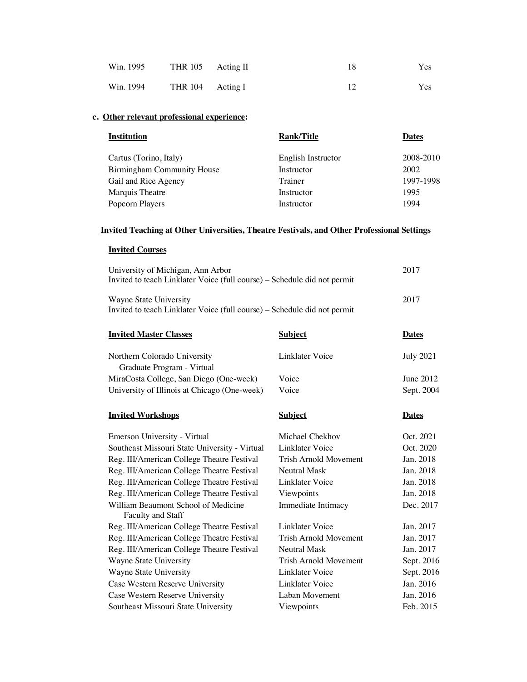| Win. 1995 | THR $105$ Acting II |  | Yes |
|-----------|---------------------|--|-----|
| Win. 1994 | THR 104 Acting I    |  | Yes |

## **c. Other relevant professional experience:**

| <b>Institution</b>                | <b>Rank/Title</b>  | <b>Dates</b> |
|-----------------------------------|--------------------|--------------|
| Cartus (Torino, Italy)            | English Instructor | 2008-2010    |
| <b>Birmingham Community House</b> | Instructor         | 2002         |
| Gail and Rice Agency              | Trainer            | 1997-1998    |
| Marquis Theatre                   | Instructor         | 1995         |
| Popcorn Players                   | Instructor         | 1994         |

### **Invited Teaching at Other Universities, Theatre Festivals, and Other Professional Settings**

#### **Invited Courses**

| University of Michigan, Ann Arbor                                        | 2017 |
|--------------------------------------------------------------------------|------|
| Invited to teach Linklater Voice (full course) – Schedule did not permit |      |
|                                                                          |      |
| Wayne State University                                                   | 2017 |
| Invited to teach Linklater Voice (full course) – Schedule did not permit |      |

| <b>Invited Master Classes</b>                              | <b>Subject</b>               | <b>Dates</b>     |
|------------------------------------------------------------|------------------------------|------------------|
| Northern Colorado University<br>Graduate Program - Virtual | Linklater Voice              | <b>July 2021</b> |
| MiraCosta College, San Diego (One-week)                    | Voice                        | June 2012        |
| University of Illinois at Chicago (One-week)               | Voice                        | Sept. 2004       |
| <b>Invited Workshops</b>                                   | <b>Subject</b>               | <b>Dates</b>     |
| Emerson University - Virtual                               | Michael Chekhov              | Oct. 2021        |
| Southeast Missouri State University - Virtual              | Linklater Voice              | Oct. 2020        |
| Reg. III/American College Theatre Festival                 | Trish Arnold Movement        | Jan. 2018        |
| Reg. III/American College Theatre Festival                 | <b>Neutral Mask</b>          | Jan. 2018        |
| Reg. III/American College Theatre Festival                 | Linklater Voice              | Jan. 2018        |
| Reg. III/American College Theatre Festival                 | Viewpoints                   | Jan. 2018        |
| William Beaumont School of Medicine<br>Faculty and Staff   | Immediate Intimacy           | Dec. 2017        |
| Reg. III/American College Theatre Festival                 | Linklater Voice              | Jan. 2017        |
| Reg. III/American College Theatre Festival                 | <b>Trish Arnold Movement</b> | Jan. 2017        |
| Reg. III/American College Theatre Festival                 | <b>Neutral Mask</b>          | Jan. 2017        |
| Wayne State University                                     | Trish Arnold Movement        | Sept. 2016       |
| Wayne State University                                     | Linklater Voice              | Sept. 2016       |
| Case Western Reserve University                            | <b>Linklater Voice</b>       | Jan. 2016        |
| Case Western Reserve University                            | Laban Movement               | Jan. 2016        |
| Southeast Missouri State University                        | Viewpoints                   | Feb. 2015        |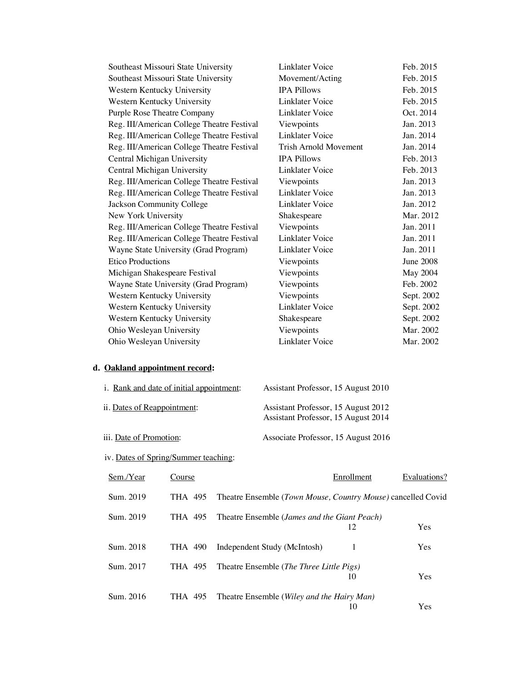| Southeast Missouri State University        | Linklater Voice              | Feb. 2015        |
|--------------------------------------------|------------------------------|------------------|
| Southeast Missouri State University        | Movement/Acting              | Feb. 2015        |
| Western Kentucky University                | <b>IPA Pillows</b>           | Feb. 2015        |
| Western Kentucky University                | <b>Linklater Voice</b>       | Feb. 2015        |
| Purple Rose Theatre Company                | <b>Linklater Voice</b>       | Oct. 2014        |
| Reg. III/American College Theatre Festival | Viewpoints                   | Jan. 2013        |
| Reg. III/American College Theatre Festival | Linklater Voice              | Jan. 2014        |
| Reg. III/American College Theatre Festival | <b>Trish Arnold Movement</b> | Jan. 2014        |
| Central Michigan University                | <b>IPA Pillows</b>           | Feb. 2013        |
| Central Michigan University                | Linklater Voice              | Feb. 2013        |
| Reg. III/American College Theatre Festival | Viewpoints                   | Jan. 2013        |
| Reg. III/American College Theatre Festival | Linklater Voice              | Jan. 2013        |
| Jackson Community College                  | <b>Linklater Voice</b>       | Jan. 2012        |
| New York University                        | Shakespeare                  | Mar. 2012        |
| Reg. III/American College Theatre Festival | Viewpoints                   | Jan. 2011        |
| Reg. III/American College Theatre Festival | Linklater Voice              | Jan. 2011        |
| Wayne State University (Grad Program)      | Linklater Voice              | Jan. 2011        |
| <b>Etico Productions</b>                   | Viewpoints                   | <b>June 2008</b> |
| Michigan Shakespeare Festival              | Viewpoints                   | May 2004         |
| Wayne State University (Grad Program)      | Viewpoints                   | Feb. 2002        |
| Western Kentucky University                | Viewpoints                   | Sept. 2002       |
| Western Kentucky University                | <b>Linklater Voice</b>       | Sept. 2002       |
| Western Kentucky University                | Shakespeare                  | Sept. 2002       |
| Ohio Wesleyan University                   | Viewpoints                   | Mar. 2002        |
| Ohio Wesleyan University                   | Linklater Voice              | Mar. 2002        |
|                                            |                              |                  |

# **d. Oakland appointment record:**

| <i>i.</i> Rank and date of initial appointment: | Assistant Professor, 15 August 2010                                        |
|-------------------------------------------------|----------------------------------------------------------------------------|
| ii. Dates of Reappointment:                     | Assistant Professor, 15 August 2012<br>Assistant Professor, 15 August 2014 |
| iii. Date of Promotion:                         | Associate Professor, 15 August 2016                                        |

# iv. Dates of Spring/Summer teaching:

| Sem./Year | Course  |                                                              | Enrollment | Evaluations? |
|-----------|---------|--------------------------------------------------------------|------------|--------------|
| Sum. 2019 | THA 495 | Theatre Ensemble (Town Mouse, Country Mouse) cancelled Covid |            |              |
| Sum. 2019 | THA 495 | Theatre Ensemble ( <i>James and the Giant Peach</i> )        | 12         | Yes          |
| Sum. 2018 | THA 490 | Independent Study (McIntosh)                                 | 1          | Yes          |
| Sum. 2017 | THA 495 | Theatre Ensemble ( <i>The Three Little Pigs</i> )            | 10         | <b>Yes</b>   |
| Sum. 2016 | THA 495 | Theatre Ensemble (Wiley and the Hairy Man)                   | 10         | Yes          |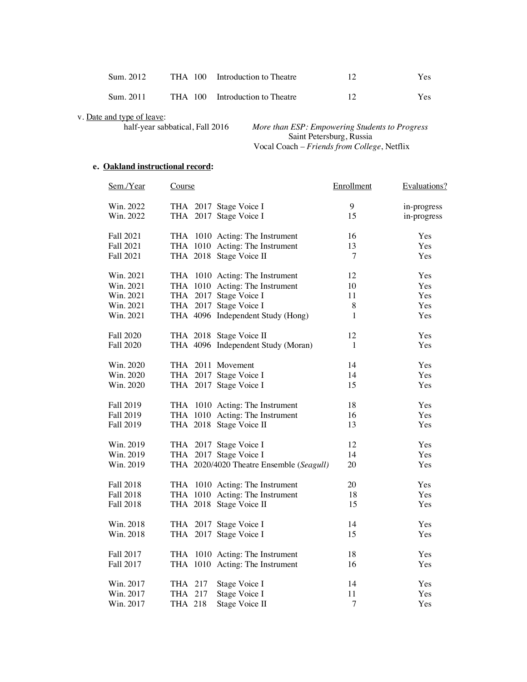| Sum. 2012 | THA 100 Introduction to Theatre | Yes. |
|-----------|---------------------------------|------|
| Sum. 2011 | THA 100 Introduction to Theatre | Yes. |

v. Date and type of leave:<br>half-year sabbatical, Fall 2016

half-year sabbatical, Fall 2016 *More than ESP: Empowering Students to Progress* Saint Petersburg, Russia Vocal Coach – *Friends from College*, Netflix

## **e. Oakland instructional record:**

| Sem./Year        | Course  |                                          | Enrollment | Evaluations? |
|------------------|---------|------------------------------------------|------------|--------------|
| Win. 2022        |         | THA 2017 Stage Voice I                   | 9          | in-progress  |
| Win. 2022        |         | THA 2017 Stage Voice I                   | 15         | in-progress  |
| Fall 2021        |         | THA 1010 Acting: The Instrument          | 16         | Yes          |
| <b>Fall 2021</b> |         | THA 1010 Acting: The Instrument          | 13         | Yes          |
| <b>Fall 2021</b> |         | THA 2018 Stage Voice II                  | 7          | Yes          |
| Win. 2021        |         | THA 1010 Acting: The Instrument          | 12         | Yes          |
| Win. 2021        |         | THA 1010 Acting: The Instrument          | 10         | Yes          |
| Win. 2021        |         | THA 2017 Stage Voice I                   | 11         | Yes          |
| Win. 2021        |         | THA 2017 Stage Voice I                   | 8          | Yes          |
| Win. 2021        |         | THA 4096 Independent Study (Hong)        | 1          | Yes          |
| <b>Fall 2020</b> |         | THA 2018 Stage Voice II                  | 12         | Yes          |
| <b>Fall 2020</b> |         | THA 4096 Independent Study (Moran)       | 1          | Yes          |
| Win. 2020        |         | THA 2011 Movement                        | 14         | Yes          |
| Win. 2020        |         | THA 2017 Stage Voice I                   | 14         | Yes          |
| Win. 2020        |         | THA 2017 Stage Voice I                   | 15         | Yes          |
|                  |         |                                          |            |              |
| <b>Fall 2019</b> |         | THA 1010 Acting: The Instrument          | 18         | Yes          |
| <b>Fall 2019</b> |         | THA 1010 Acting: The Instrument          | 16         | Yes          |
| <b>Fall 2019</b> |         | THA 2018 Stage Voice II                  | 13         | Yes          |
| Win. 2019        |         | THA 2017 Stage Voice I                   | 12         | Yes          |
| Win. 2019        |         | THA 2017 Stage Voice I                   | 14         | Yes          |
| Win. 2019        |         | THA 2020/4020 Theatre Ensemble (Seagull) | 20         | Yes          |
| <b>Fall 2018</b> |         | THA 1010 Acting: The Instrument          | 20         | Yes          |
| <b>Fall 2018</b> |         | THA 1010 Acting: The Instrument          | 18         | Yes          |
| <b>Fall 2018</b> |         | THA 2018 Stage Voice II                  | 15         | Yes          |
|                  |         |                                          |            |              |
| Win. 2018        |         | THA 2017 Stage Voice I                   | 14         | Yes          |
| Win. 2018        |         | THA 2017 Stage Voice I                   | 15         | Yes          |
| Fall 2017        |         | THA 1010 Acting: The Instrument          | 18         | Yes          |
| <b>Fall 2017</b> |         | THA 1010 Acting: The Instrument          | 16         | Yes          |
| Win. 2017        | THA 217 | Stage Voice I                            | 14         | Yes          |
| Win. 2017        | THA 217 | Stage Voice I                            | 11         | Yes          |
| Win. 2017        | THA 218 | Stage Voice II                           | 7          | Yes          |
|                  |         |                                          |            |              |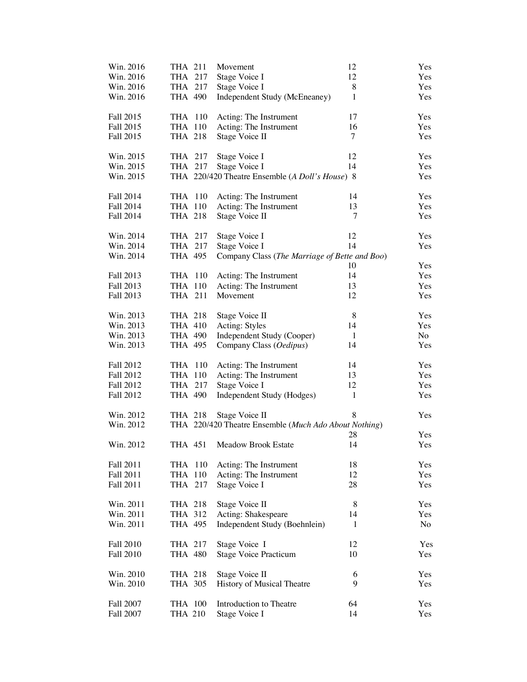| Win. 2016        | THA 211        |         | Movement                                              | 12           | Yes            |
|------------------|----------------|---------|-------------------------------------------------------|--------------|----------------|
| Win. 2016        | THA 217        |         | Stage Voice I                                         | 12           | Yes            |
| Win. 2016        | THA 217        |         | Stage Voice I                                         | $8\,$        | Yes            |
| Win. 2016        | THA 490        |         | Independent Study (McEneaney)                         | 1            | Yes            |
|                  |                |         |                                                       |              |                |
| Fall 2015        | THA 110        |         | Acting: The Instrument                                | 17           | Yes            |
| Fall 2015        | THA 110        |         | Acting: The Instrument                                | 16           | Yes            |
| Fall 2015        | THA 218        |         | Stage Voice II                                        | 7            | Yes            |
|                  |                |         |                                                       |              |                |
| Win. 2015        |                | THA 217 | Stage Voice I                                         | 12           | Yes            |
| Win. 2015        |                | THA 217 | Stage Voice I                                         | 14           | Yes            |
| Win. 2015        |                |         | THA 220/420 Theatre Ensemble (A Doll's House) 8       |              | Yes            |
|                  |                |         |                                                       |              |                |
| Fall 2014        | THA 110        |         | Acting: The Instrument                                | 14           | <b>Yes</b>     |
| Fall 2014        | THA 110        |         | Acting: The Instrument                                | 13           | Yes            |
| Fall 2014        | THA 218        |         | Stage Voice II                                        | 7            | Yes            |
|                  |                |         |                                                       |              |                |
| Win. 2014        | THA 217        |         | Stage Voice I                                         | 12           | Yes            |
| Win. 2014        | THA 217        |         | Stage Voice I                                         | 14           | Yes            |
| Win. 2014        | THA 495        |         | Company Class (The Marriage of Bette and Boo)         |              |                |
|                  |                |         |                                                       | 10           | Yes            |
| Fall 2013        | THA 110        |         | Acting: The Instrument                                | 14           | Yes            |
| Fall 2013        | THA 110        |         | Acting: The Instrument                                | 13           | Yes            |
| Fall 2013        | THA 211        |         | Movement                                              | 12           | Yes            |
|                  |                |         |                                                       |              |                |
| Win. 2013        | THA 218        |         | Stage Voice II                                        | 8            | Yes            |
| Win. 2013        | THA 410        |         | Acting: Styles                                        | 14           | Yes            |
| Win. 2013        | THA 490        |         | Independent Study (Cooper)                            | 1            | No             |
| Win. 2013        | THA 495        |         | Company Class (Oedipus)                               | 14           | Yes            |
|                  |                |         |                                                       |              |                |
| Fall 2012        | THA 110        |         | Acting: The Instrument                                | 14           | Yes            |
| Fall 2012        | THA 110        |         | Acting: The Instrument                                | 13           | Yes            |
| Fall 2012        | THA 217        |         | Stage Voice I                                         | 12           | Yes            |
| <b>Fall 2012</b> | THA 490        |         | Independent Study (Hodges)                            | $\mathbf{1}$ | Yes            |
|                  |                |         |                                                       |              |                |
| Win. 2012        | THA 218        |         | Stage Voice II                                        | 8            | Yes            |
| Win. 2012        |                |         | THA 220/420 Theatre Ensemble (Much Ado About Nothing) |              |                |
|                  |                |         |                                                       | 28           | Yes            |
| Win. 2012        | THA 451        |         | <b>Meadow Brook Estate</b>                            | 14           | Yes            |
|                  |                |         |                                                       |              |                |
| Fall 2011        | THA 110        |         | Acting: The Instrument                                | 18           | Yes            |
| Fall 2011        | THA 110        |         | Acting: The Instrument                                | 12           | Yes            |
| Fall 2011        | THA 217        |         | Stage Voice I                                         | 28           | Yes            |
|                  |                |         |                                                       |              |                |
| Win. 2011        | THA 218        |         | Stage Voice II                                        | 8            | Yes            |
| Win. 2011        | THA 312        |         | Acting: Shakespeare                                   | 14           | Yes            |
| Win. 2011        | THA 495        |         | Independent Study (Boehnlein)                         | $\mathbf{1}$ | N <sub>o</sub> |
|                  |                |         |                                                       |              |                |
| <b>Fall 2010</b> | THA 217        |         | Stage Voice I                                         | 12           | Yes            |
| <b>Fall 2010</b> | THA 480        |         | <b>Stage Voice Practicum</b>                          | 10           | Yes            |
|                  |                |         |                                                       |              |                |
| Win. 2010        | THA 218        |         | Stage Voice II                                        | 6            | Yes            |
| Win. 2010        | THA 305        |         | History of Musical Theatre                            | 9            | Yes            |
|                  |                |         |                                                       |              |                |
| Fall 2007        | THA 100        |         | Introduction to Theatre                               | 64           | Yes            |
| <b>Fall 2007</b> | <b>THA 210</b> |         | Stage Voice I                                         | 14           | Yes            |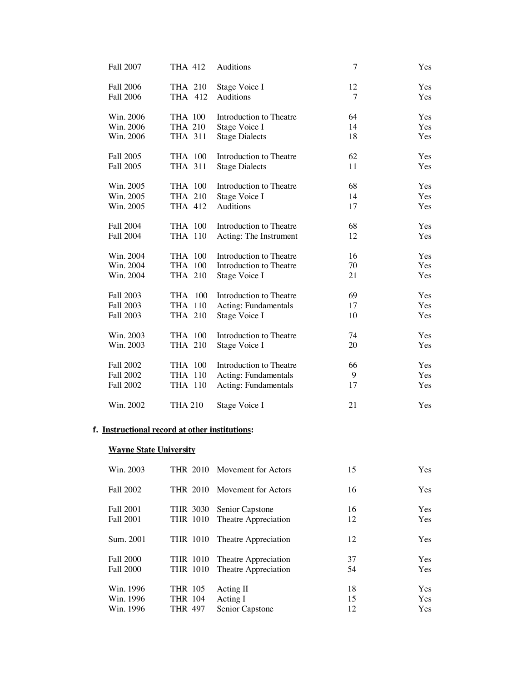| Fall 2007        | THA 412        | Auditions               | 7  | Yes |
|------------------|----------------|-------------------------|----|-----|
| <b>Fall 2006</b> | THA 210        | Stage Voice I           | 12 | Yes |
| <b>Fall 2006</b> | THA 412        | Auditions               | 7  | Yes |
| Win. 2006        | <b>THA 100</b> | Introduction to Theatre | 64 | Yes |
| Win. 2006        | <b>THA 210</b> | Stage Voice I           | 14 | Yes |
| Win. 2006        | THA 311        | <b>Stage Dialects</b>   | 18 | Yes |
| Fall 2005        | THA 100        | Introduction to Theatre | 62 | Yes |
| <b>Fall 2005</b> | THA 311        | <b>Stage Dialects</b>   | 11 | Yes |
| Win. 2005        | THA 100        | Introduction to Theatre | 68 | Yes |
| Win. 2005        | THA 210        | Stage Voice I           | 14 | Yes |
| Win. 2005        | THA 412        | Auditions               | 17 | Yes |
| <b>Fall 2004</b> | THA 100        | Introduction to Theatre | 68 | Yes |
| <b>Fall 2004</b> | THA 110        | Acting: The Instrument  | 12 | Yes |
| Win. 2004        | THA 100        | Introduction to Theatre | 16 | Yes |
| Win. 2004        | THA 100        | Introduction to Theatre | 70 | Yes |
| Win. 2004        | THA 210        | Stage Voice I           | 21 | Yes |
| Fall 2003        | 100<br>THA     | Introduction to Theatre | 69 | Yes |
| Fall 2003        | THA 110        | Acting: Fundamentals    | 17 | Yes |
| Fall 2003        | THA 210        | Stage Voice I           | 10 | Yes |
| Win. 2003        | THA 100        | Introduction to Theatre | 74 | Yes |
| Win. 2003        | THA 210        | Stage Voice I           | 20 | Yes |
| <b>Fall 2002</b> | THA 100        | Introduction to Theatre | 66 | Yes |
| <b>Fall 2002</b> | THA 110        | Acting: Fundamentals    | 9  | Yes |
| <b>Fall 2002</b> | THA 110        | Acting: Fundamentals    | 17 | Yes |
| Win. 2002        | <b>THA 210</b> | Stage Voice I           | 21 | Yes |

# **f. Instructional record at other institutions:**

# **Wayne State University**

| Win. 2003        |                | THR 2010 Movement for Actors  | 15 | <b>Yes</b> |
|------------------|----------------|-------------------------------|----|------------|
| Fall 2002        |                | THR 2010 Movement for Actors  | 16 | <b>Yes</b> |
| <b>Fall 2001</b> |                | THR 3030 Senior Capstone      | 16 | <b>Yes</b> |
| <b>Fall 2001</b> |                | THR 1010 Theatre Appreciation | 12 | <b>Yes</b> |
| Sum. 2001        |                | THR 1010 Theatre Appreciation | 12 | <b>Yes</b> |
| <b>Fall 2000</b> |                | THR 1010 Theatre Appreciation | 37 | <b>Yes</b> |
| <b>Fall 2000</b> |                | THR 1010 Theatre Appreciation | 54 | <b>Yes</b> |
| Win. 1996        | THR 105        | Acting II                     | 18 | <b>Yes</b> |
| Win. 1996        | <b>THR 104</b> | Acting I                      | 15 | <b>Yes</b> |
| Win. 1996        | <b>THR 497</b> | Senior Capstone               | 12 | <b>Yes</b> |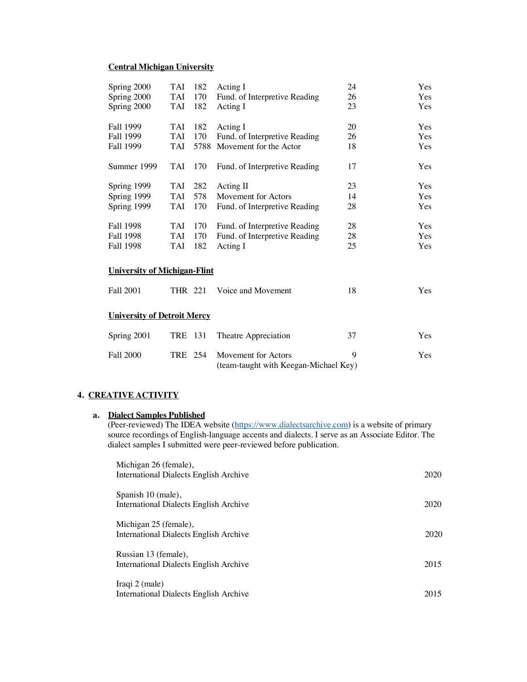### **Central Michigan University**

| Spring 2000                         | <b>TAI</b> | 182  | Acting I                                                     | 24 | Yes        |
|-------------------------------------|------------|------|--------------------------------------------------------------|----|------------|
| Spring 2000                         | <b>TAI</b> | 170  | Fund. of Interpretive Reading                                | 26 | <b>Yes</b> |
| Spring 2000                         | TAI        | 182  | Acting I                                                     | 23 | Yes        |
| Fall 1999                           | TAI        | 182  | Acting I                                                     | 20 | <b>Yes</b> |
| Fall 1999                           | <b>TAI</b> | 170  | Fund. of Interpretive Reading                                | 26 | <b>Yes</b> |
| Fall 1999                           | <b>TAI</b> | 5788 | Movement for the Actor                                       | 18 | Yes        |
| Summer 1999                         | TAI        | 170  | Fund. of Interpretive Reading                                | 17 | <b>Yes</b> |
| Spring 1999                         | TAI        | 282  | Acting II                                                    | 23 | <b>Yes</b> |
| Spring 1999                         | TAI        | 578  | Movement for Actors                                          | 14 | Yes        |
| Spring 1999                         | TAI        | 170  | Fund. of Interpretive Reading                                | 28 | Yes        |
| <b>Fall 1998</b>                    | TAI        | 170  | Fund. of Interpretive Reading                                | 28 | <b>Yes</b> |
| <b>Fall 1998</b>                    | <b>TAI</b> | 170  | Fund. of Interpretive Reading                                | 28 | <b>Yes</b> |
| Fall 1998                           | <b>TAI</b> | 182  | Acting I                                                     | 25 | Yes        |
| <b>University of Michigan-Flint</b> |            |      |                                                              |    |            |
| <b>Fall 2001</b>                    | THR 221    |      | Voice and Movement                                           | 18 | <b>Yes</b> |
| <b>University of Detroit Mercy</b>  |            |      |                                                              |    |            |
| Spring 2001                         | TRE 131    |      | Theatre Appreciation                                         | 37 | Yes        |
| <b>Fall 2000</b>                    | TRE        | 254  | Movement for Actors<br>(team-taught with Keegan-Michael Key) | 9  | <b>Yes</b> |

### **4. CREATIVE ACTIVITY**

## **a. Dialect Samples Published**

 (Peer-reviewed) The IDEA website (https://www.dialectsarchive.com) is a website of primary source recordings of English-language accents and dialects. I serve as an Associate Editor. The dialect samples I submitted were peer-reviewed before publication.

| Michigan 26 (female),<br>International Dialects English Archive | 2020 |
|-----------------------------------------------------------------|------|
| Spanish 10 (male),<br>International Dialects English Archive    | 2020 |
| Michigan 25 (female),<br>International Dialects English Archive | 2020 |
| Russian 13 (female),<br>International Dialects English Archive  | 2015 |
| Iraqi 2 (male)<br>International Dialects English Archive        | 2015 |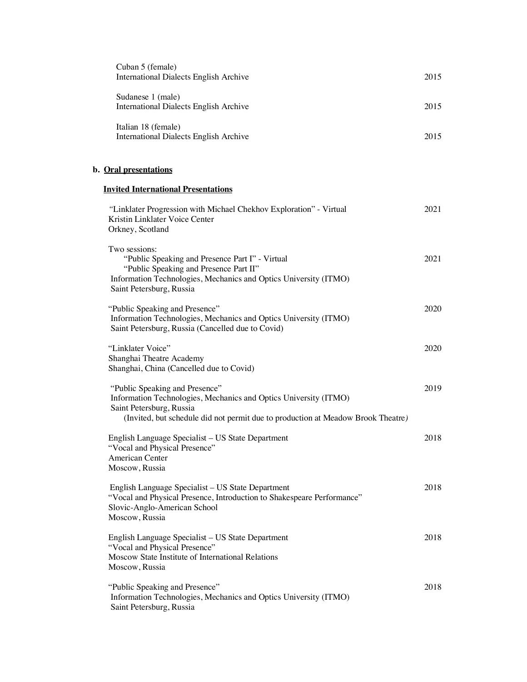| Cuban 5 (female)                       |      |
|----------------------------------------|------|
| International Dialects English Archive | 2015 |
|                                        |      |
| Sudanese 1 (male)                      |      |
| International Dialects English Archive | 2015 |
|                                        |      |
| Italian 18 (female)                    |      |
|                                        | 2015 |
| International Dialects English Archive |      |

# **b. Oral presentations**

## **Invited International Presentations**

| "Linklater Progression with Michael Chekhov Exploration" - Virtual<br>Kristin Linklater Voice Center<br>Orkney, Scotland                                                                                           | 2021 |
|--------------------------------------------------------------------------------------------------------------------------------------------------------------------------------------------------------------------|------|
| Two sessions:<br>"Public Speaking and Presence Part I" - Virtual<br>"Public Speaking and Presence Part II"<br>Information Technologies, Mechanics and Optics University (ITMO)<br>Saint Petersburg, Russia         | 2021 |
| "Public Speaking and Presence"<br>Information Technologies, Mechanics and Optics University (ITMO)<br>Saint Petersburg, Russia (Cancelled due to Covid)                                                            | 2020 |
| "Linklater Voice"<br>Shanghai Theatre Academy<br>Shanghai, China (Cancelled due to Covid)                                                                                                                          | 2020 |
| "Public Speaking and Presence"<br>Information Technologies, Mechanics and Optics University (ITMO)<br>Saint Petersburg, Russia<br>(Invited, but schedule did not permit due to production at Meadow Brook Theatre) | 2019 |
| English Language Specialist - US State Department<br>"Vocal and Physical Presence"<br>American Center<br>Moscow, Russia                                                                                            | 2018 |
| English Language Specialist - US State Department<br>"Vocal and Physical Presence, Introduction to Shakespeare Performance"<br>Slovic-Anglo-American School<br>Moscow, Russia                                      | 2018 |
| English Language Specialist - US State Department<br>"Vocal and Physical Presence"<br>Moscow State Institute of International Relations<br>Moscow, Russia                                                          | 2018 |
| "Public Speaking and Presence"<br>Information Technologies, Mechanics and Optics University (ITMO)<br>Saint Petersburg, Russia                                                                                     | 2018 |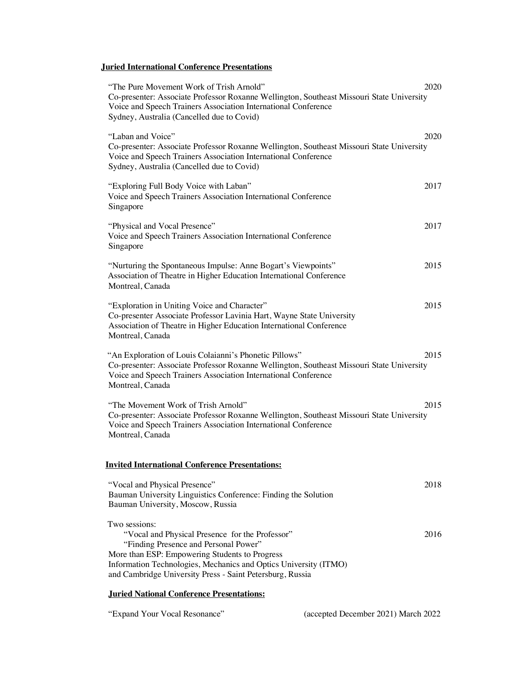# **Juried International Conference Presentations**

| "The Pure Movement Work of Trish Arnold"<br>Co-presenter: Associate Professor Roxanne Wellington, Southeast Missouri State University<br>Voice and Speech Trainers Association International Conference<br>Sydney, Australia (Cancelled due to Covid)                                        | 2020 |
|----------------------------------------------------------------------------------------------------------------------------------------------------------------------------------------------------------------------------------------------------------------------------------------------|------|
| "Laban and Voice"<br>Co-presenter: Associate Professor Roxanne Wellington, Southeast Missouri State University<br>Voice and Speech Trainers Association International Conference<br>Sydney, Australia (Cancelled due to Covid)                                                               | 2020 |
| "Exploring Full Body Voice with Laban"<br>Voice and Speech Trainers Association International Conference<br>Singapore                                                                                                                                                                        | 2017 |
| "Physical and Vocal Presence"<br>Voice and Speech Trainers Association International Conference<br>Singapore                                                                                                                                                                                 | 2017 |
| "Nurturing the Spontaneous Impulse: Anne Bogart's Viewpoints"<br>Association of Theatre in Higher Education International Conference<br>Montreal, Canada                                                                                                                                     | 2015 |
| "Exploration in Uniting Voice and Character"<br>Co-presenter Associate Professor Lavinia Hart, Wayne State University<br>Association of Theatre in Higher Education International Conference<br>Montreal, Canada                                                                             | 2015 |
| "An Exploration of Louis Colaianni's Phonetic Pillows"<br>Co-presenter: Associate Professor Roxanne Wellington, Southeast Missouri State University<br>Voice and Speech Trainers Association International Conference<br>Montreal, Canada                                                    | 2015 |
| "The Movement Work of Trish Arnold"<br>Co-presenter: Associate Professor Roxanne Wellington, Southeast Missouri State University<br>Voice and Speech Trainers Association International Conference<br>Montreal, Canada                                                                       | 2015 |
| <b>Invited International Conference Presentations:</b>                                                                                                                                                                                                                                       |      |
| "Vocal and Physical Presence"<br>Bauman University Linguistics Conference: Finding the Solution<br>Bauman University, Moscow, Russia                                                                                                                                                         | 2018 |
| Two sessions:<br>"Vocal and Physical Presence for the Professor"<br>"Finding Presence and Personal Power"<br>More than ESP: Empowering Students to Progress<br>Information Technologies, Mechanics and Optics University (ITMO)<br>and Cambridge University Press - Saint Petersburg, Russia | 2016 |
|                                                                                                                                                                                                                                                                                              |      |

### **Juried National Conference Presentations:**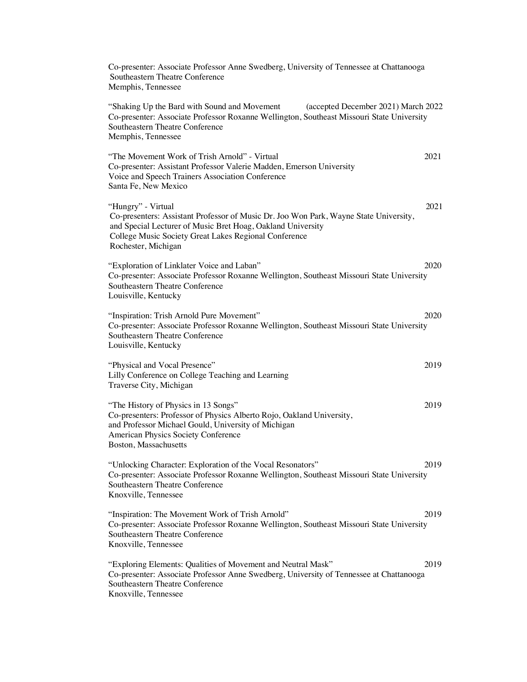Co-presenter: Associate Professor Anne Swedberg, University of Tennessee at Chattanooga Southeastern Theatre Conference Memphis, Tennessee "Shaking Up the Bard with Sound and Movement (accepted December 2021) March 2022 Co-presenter: Associate Professor Roxanne Wellington, Southeast Missouri State University Southeastern Theatre Conference Memphis, Tennessee "The Movement Work of Trish Arnold" - Virtual 2021 Co-presenter: Assistant Professor Valerie Madden, Emerson University Voice and Speech Trainers Association Conference Santa Fe, New Mexico "Hungry" - Virtual 2021 Co-presenters: Assistant Professor of Music Dr. Joo Won Park, Wayne State University, and Special Lecturer of Music Bret Hoag, Oakland University College Music Society Great Lakes Regional Conference Rochester, Michigan "Exploration of Linklater Voice and Laban" 2020 Co-presenter: Associate Professor Roxanne Wellington, Southeast Missouri State University Southeastern Theatre Conference Louisville, Kentucky "Inspiration: Trish Arnold Pure Movement" 2020 Co-presenter: Associate Professor Roxanne Wellington, Southeast Missouri State University Southeastern Theatre Conference Louisville, Kentucky "Physical and Vocal Presence" 2019 Lilly Conference on College Teaching and Learning Traverse City, Michigan "The History of Physics in 13 Songs" 2019 Co-presenters: Professor of Physics Alberto Rojo, Oakland University, and Professor Michael Gould, University of Michigan American Physics Society Conference Boston, Massachusetts "Unlocking Character: Exploration of the Vocal Resonators" 2019 Co-presenter: Associate Professor Roxanne Wellington, Southeast Missouri State University Southeastern Theatre Conference Knoxville, Tennessee "Inspiration: The Movement Work of Trish Arnold" 2019 Co-presenter: Associate Professor Roxanne Wellington, Southeast Missouri State University Southeastern Theatre Conference Knoxville, Tennessee "Exploring Elements: Qualities of Movement and Neutral Mask" 2019 Co-presenter: Associate Professor Anne Swedberg, University of Tennessee at Chattanooga Southeastern Theatre Conference Knoxville, Tennessee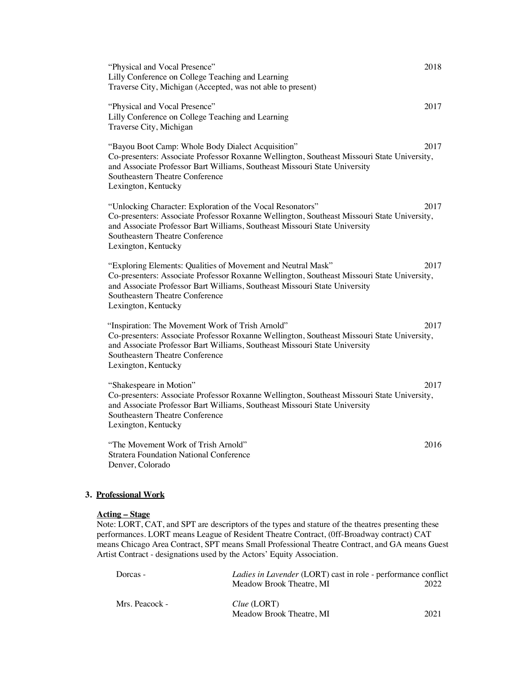| "Physical and Vocal Presence"<br>Lilly Conference on College Teaching and Learning<br>Traverse City, Michigan (Accepted, was not able to present)                                                                                                                                                   | 2018 |
|-----------------------------------------------------------------------------------------------------------------------------------------------------------------------------------------------------------------------------------------------------------------------------------------------------|------|
| "Physical and Vocal Presence"<br>Lilly Conference on College Teaching and Learning<br>Traverse City, Michigan                                                                                                                                                                                       | 2017 |
| "Bayou Boot Camp: Whole Body Dialect Acquisition"<br>Co-presenters: Associate Professor Roxanne Wellington, Southeast Missouri State University,<br>and Associate Professor Bart Williams, Southeast Missouri State University<br>Southeastern Theatre Conference<br>Lexington, Kentucky            | 2017 |
| "Unlocking Character: Exploration of the Vocal Resonators"<br>Co-presenters: Associate Professor Roxanne Wellington, Southeast Missouri State University,<br>and Associate Professor Bart Williams, Southeast Missouri State University<br>Southeastern Theatre Conference<br>Lexington, Kentucky   | 2017 |
| "Exploring Elements: Qualities of Movement and Neutral Mask"<br>Co-presenters: Associate Professor Roxanne Wellington, Southeast Missouri State University,<br>and Associate Professor Bart Williams, Southeast Missouri State University<br>Southeastern Theatre Conference<br>Lexington, Kentucky | 2017 |
| "Inspiration: The Movement Work of Trish Arnold"<br>Co-presenters: Associate Professor Roxanne Wellington, Southeast Missouri State University,<br>and Associate Professor Bart Williams, Southeast Missouri State University<br>Southeastern Theatre Conference<br>Lexington, Kentucky             | 2017 |
| "Shakespeare in Motion"<br>Co-presenters: Associate Professor Roxanne Wellington, Southeast Missouri State University,<br>and Associate Professor Bart Williams, Southeast Missouri State University<br>Southeastern Theatre Conference<br>Lexington, Kentucky                                      | 2017 |
| "The Movement Work of Trish Arnold"<br><b>Stratera Foundation National Conference</b><br>Denver, Colorado                                                                                                                                                                                           | 2016 |

## **3. Professional Work**

## **Acting – Stage**

Note: LORT, CAT, and SPT are descriptors of the types and stature of the theatres presenting these performances. LORT means League of Resident Theatre Contract, (0ff-Broadway contract) CAT means Chicago Area Contract, SPT means Small Professional Theatre Contract, and GA means Guest Artist Contract - designations used by the Actors' Equity Association.

| Dorcas -       |                          | <i>Ladies in Lavender</i> (LORT) cast in role - performance conflict |  |
|----------------|--------------------------|----------------------------------------------------------------------|--|
|                | Meadow Brook Theatre, MI | 2022                                                                 |  |
| Mrs. Peacock - | Clue (LORT)              |                                                                      |  |
|                | Meadow Brook Theatre, MI | 2021                                                                 |  |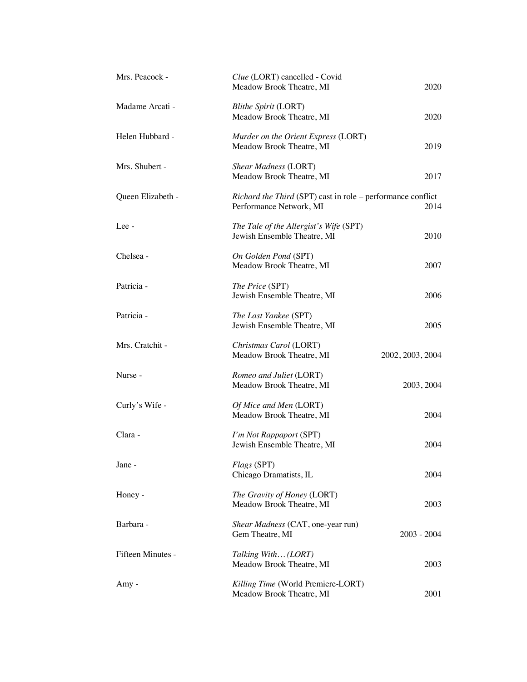| Mrs. Peacock -    | Clue (LORT) cancelled - Covid<br>Meadow Brook Theatre, MI                                       | 2020             |
|-------------------|-------------------------------------------------------------------------------------------------|------------------|
| Madame Arcati -   | <b>Blithe Spirit (LORT)</b><br>Meadow Brook Theatre, MI                                         | 2020             |
| Helen Hubbard -   | Murder on the Orient Express (LORT)<br>Meadow Brook Theatre, MI                                 | 2019             |
| Mrs. Shubert -    | <b>Shear Madness (LORT)</b><br>Meadow Brook Theatre, MI                                         | 2017             |
| Queen Elizabeth - | <i>Richard the Third</i> (SPT) cast in role $-$ performance conflict<br>Performance Network, MI | 2014             |
| Lee -             | The Tale of the Allergist's Wife (SPT)<br>Jewish Ensemble Theatre, MI                           | 2010             |
| Chelsea -         | On Golden Pond (SPT)<br>Meadow Brook Theatre, MI                                                | 2007             |
| Patricia -        | The Price (SPT)<br>Jewish Ensemble Theatre, MI                                                  | 2006             |
| Patricia -        | The Last Yankee (SPT)<br>Jewish Ensemble Theatre, MI                                            | 2005             |
| Mrs. Cratchit -   | Christmas Carol (LORT)<br>Meadow Brook Theatre, MI                                              | 2002, 2003, 2004 |
| Nurse -           | Romeo and Juliet (LORT)<br>Meadow Brook Theatre, MI                                             | 2003, 2004       |
| Curly's Wife -    | Of Mice and Men (LORT)<br>Meadow Brook Theatre, MI                                              | 2004             |
| Clara -           | I'm Not Rappaport (SPT)<br>Jewish Ensemble Theatre, MI                                          | 2004             |
| Jane -            | Flags (SPT)<br>Chicago Dramatists, IL                                                           | 2004             |
| Honey -           | The Gravity of Honey (LORT)<br>Meadow Brook Theatre, MI                                         | 2003             |
| Barbara -         | Shear Madness (CAT, one-year run)<br>Gem Theatre, MI                                            | $2003 - 2004$    |
| Fifteen Minutes - | Talking With(LORT)<br>Meadow Brook Theatre, MI                                                  | 2003             |
| Amy -             | Killing Time (World Premiere-LORT)<br>Meadow Brook Theatre, MI                                  | 2001             |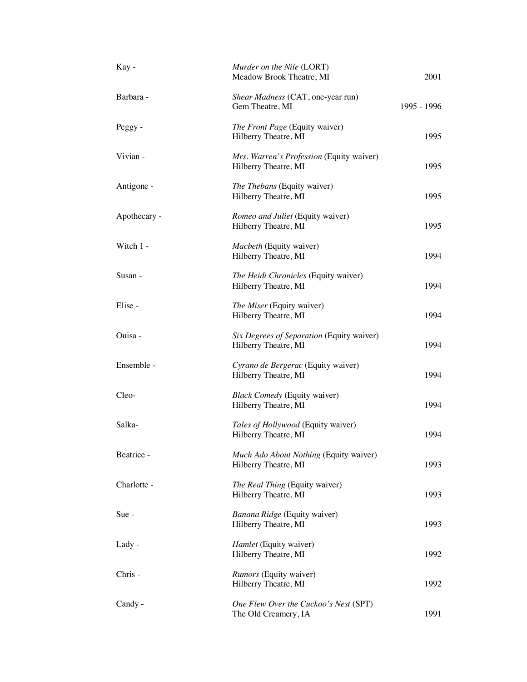| Kay -        | Murder on the Nile (LORT)<br>Meadow Brook Theatre, MI             | 2001        |
|--------------|-------------------------------------------------------------------|-------------|
| Barbara -    | Shear Madness (CAT, one-year run)<br>Gem Theatre, MI              | 1995 - 1996 |
| Peggy -      | The Front Page (Equity waiver)<br>Hilberry Theatre, MI            | 1995        |
| Vivian -     | Mrs. Warren's Profession (Equity waiver)<br>Hilberry Theatre, MI  | 1995        |
| Antigone -   | The Thebans (Equity waiver)<br>Hilberry Theatre, MI               | 1995        |
| Apothecary - | Romeo and Juliet (Equity waiver)<br>Hilberry Theatre, MI          | 1995        |
| Witch 1 -    | Macbeth (Equity waiver)<br>Hilberry Theatre, MI                   | 1994        |
| Susan -      | The Heidi Chronicles (Equity waiver)<br>Hilberry Theatre, MI      | 1994        |
| Elise -      | The Miser (Equity waiver)<br>Hilberry Theatre, MI                 | 1994        |
| Ouisa -      | Six Degrees of Separation (Equity waiver)<br>Hilberry Theatre, MI | 1994        |
| Ensemble -   | Cyrano de Bergerac (Equity waiver)<br>Hilberry Theatre, MI        | 1994        |
| Cleo-        | <b>Black Comedy</b> (Equity waiver)<br>Hilberry Theatre, MI       | 1994        |
| Salka-       | Tales of Hollywood (Equity waiver)<br>Hilberry Theatre, MI        | 1994        |
| Beatrice -   | Much Ado About Nothing (Equity waiver)<br>Hilberry Theatre, MI    | 1993        |
| Charlotte -  | The Real Thing (Equity waiver)<br>Hilberry Theatre, MI            | 1993        |
| $Sue -$      | Banana Ridge (Equity waiver)<br>Hilberry Theatre, MI              | 1993        |
| Lady -       | Hamlet (Equity waiver)<br>Hilberry Theatre, MI                    | 1992        |
| Chris -      | Rumors (Equity waiver)<br>Hilberry Theatre, MI                    | 1992        |
| Candy -      | One Flew Over the Cuckoo's Nest (SPT)<br>The Old Creamery, IA     | 1991        |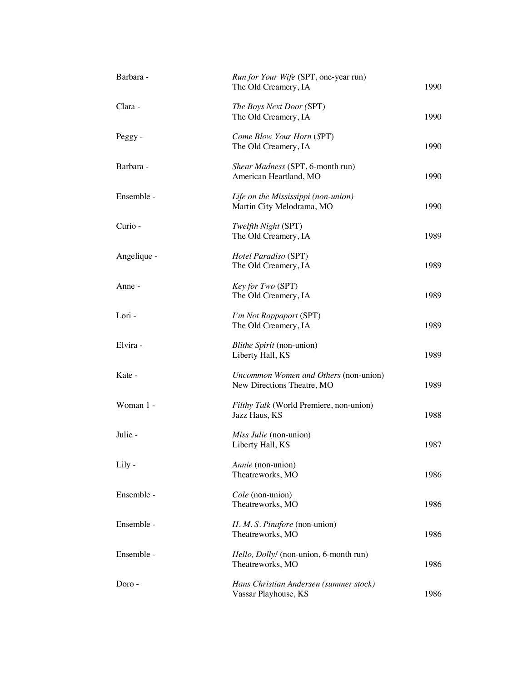| Barbara -   | Run for Your Wife (SPT, one-year run)<br>The Old Creamery, IA       | 1990 |
|-------------|---------------------------------------------------------------------|------|
| Clara -     | The Boys Next Door (SPT)<br>The Old Creamery, IA                    | 1990 |
| Peggy-      | Come Blow Your Horn (SPT)<br>The Old Creamery, IA                   | 1990 |
| Barbara -   | Shear Madness (SPT, 6-month run)<br>American Heartland, MO          | 1990 |
| Ensemble -  | Life on the Mississippi (non-union)<br>Martin City Melodrama, MO    | 1990 |
| Curio -     | Twelfth Night (SPT)<br>The Old Creamery, IA                         | 1989 |
| Angelique - | Hotel Paradiso (SPT)<br>The Old Creamery, IA                        | 1989 |
| Anne -      | Key for Two (SPT)<br>The Old Creamery, IA                           | 1989 |
| Lori -      | I'm Not Rappaport (SPT)<br>The Old Creamery, IA                     | 1989 |
| Elvira -    | Blithe Spirit (non-union)<br>Liberty Hall, KS                       | 1989 |
| Kate -      | Uncommon Women and Others (non-union)<br>New Directions Theatre, MO | 1989 |
| Woman 1 -   | Filthy Talk (World Premiere, non-union)<br>Jazz Haus, KS            | 1988 |
| Julie -     | Miss Julie (non-union)<br>Liberty Hall, KS                          | 1987 |
| Lily -      | Annie (non-union)<br>Theatreworks, MO                               | 1986 |
| Ensemble -  | Cole (non-union)<br>Theatreworks, MO                                | 1986 |
| Ensemble -  | H. M. S. Pinafore (non-union)<br>Theatreworks, MO                   | 1986 |
| Ensemble -  | Hello, Dolly! (non-union, 6-month run)<br>Theatreworks, MO          | 1986 |
| Doro-       | Hans Christian Andersen (summer stock)<br>Vassar Playhouse, KS      | 1986 |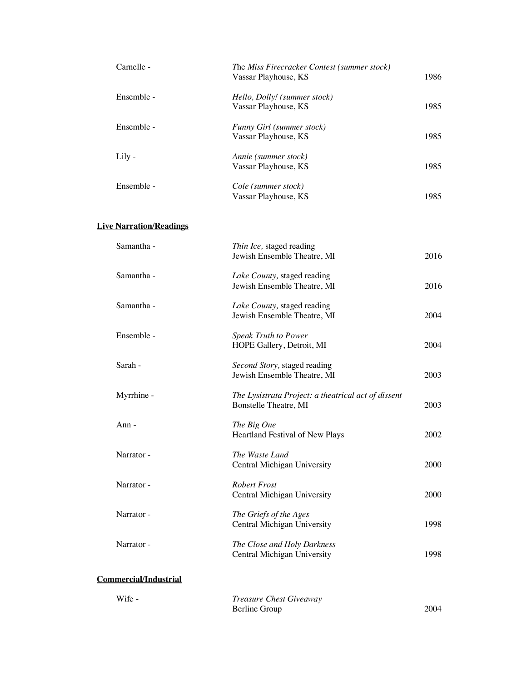| Carnelle - | The Miss Firecracker Contest (summer stock)<br>Vassar Playhouse, KS | 1986 |
|------------|---------------------------------------------------------------------|------|
| Ensemble - | Hello, Dolly! (summer stock)<br>Vassar Playhouse, KS                | 1985 |
| Ensemble - | Funny Girl (summer stock)<br>Vassar Playhouse, KS                   | 1985 |
| Lily -     | Annie (summer stock)<br>Vassar Playhouse, KS                        | 1985 |
| Ensemble - | Cole (summer stock)<br>Vassar Playhouse, KS                         | 1985 |

## **Live Narration/Readings**

| Samantha -                   | Thin Ice, staged reading<br>Jewish Ensemble Theatre, MI                      | 2016 |
|------------------------------|------------------------------------------------------------------------------|------|
| Samantha -                   | Lake County, staged reading<br>Jewish Ensemble Theatre, MI                   | 2016 |
| Samantha -                   | Lake County, staged reading<br>Jewish Ensemble Theatre, MI                   | 2004 |
| Ensemble -                   | <b>Speak Truth to Power</b><br>HOPE Gallery, Detroit, MI                     | 2004 |
| Sarah -                      | Second Story, staged reading<br>Jewish Ensemble Theatre, MI                  | 2003 |
| Myrrhine -                   | The Lysistrata Project: a theatrical act of dissent<br>Bonstelle Theatre, MI | 2003 |
| Ann-                         | The Big One<br>Heartland Festival of New Plays                               | 2002 |
| Narrator -                   | The Waste Land<br>Central Michigan University                                | 2000 |
| Narrator -                   | <b>Robert Frost</b><br>Central Michigan University                           | 2000 |
| Narrator -                   | The Griefs of the Ages<br>Central Michigan University                        | 1998 |
| Narrator -                   | The Close and Holy Darkness<br>Central Michigan University                   | 1998 |
| <b>Commercial/Industrial</b> |                                                                              |      |

| Wife - | Treasure Chest Giveaway |      |
|--------|-------------------------|------|
|        | Berline Group           | 2004 |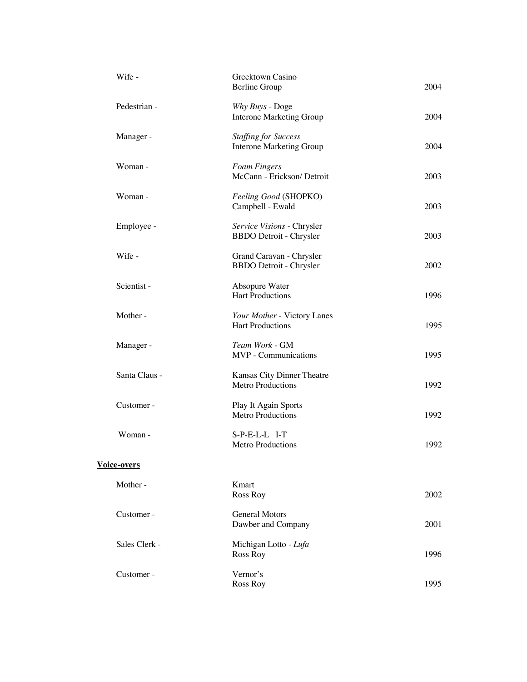| Wife -        | Greektown Casino<br>Berline Group                            | 2004 |
|---------------|--------------------------------------------------------------|------|
| Pedestrian -  | Why Buys - Doge<br><b>Interone Marketing Group</b>           | 2004 |
| Manager -     | <b>Staffing for Success</b><br>Interone Marketing Group      | 2004 |
| Woman -       | <b>Foam Fingers</b><br>McCann - Erickson/ Detroit            | 2003 |
| Woman -       | Feeling Good (SHOPKO)<br>Campbell - Ewald                    | 2003 |
| Employee -    | Service Visions - Chrysler<br><b>BBDO</b> Detroit - Chrysler | 2003 |
| Wife -        | Grand Caravan - Chrysler<br><b>BBDO</b> Detroit - Chrysler   | 2002 |
| Scientist -   | Absopure Water<br><b>Hart Productions</b>                    | 1996 |
| Mother-       | Your Mother - Victory Lanes<br><b>Hart Productions</b>       | 1995 |
| Manager -     | Team Work - GM<br>MVP - Communications                       | 1995 |
| Santa Claus - | Kansas City Dinner Theatre<br><b>Metro Productions</b>       | 1992 |
| Customer -    | Play It Again Sports<br>Metro Productions                    | 1992 |
| Woman -       | S-P-E-L-L I-T<br>Metro Productions                           | 1992 |
| Voice-overs   |                                                              |      |
| Mother-       | Kmart<br>Ross Roy                                            | 2002 |
| Customer -    | <b>General Motors</b><br>Dawber and Company                  | 2001 |
| Sales Clerk - | Michigan Lotto - Lufa<br>Ross Roy                            | 1996 |
| Customer -    | Vernor's<br>Ross Roy                                         | 1995 |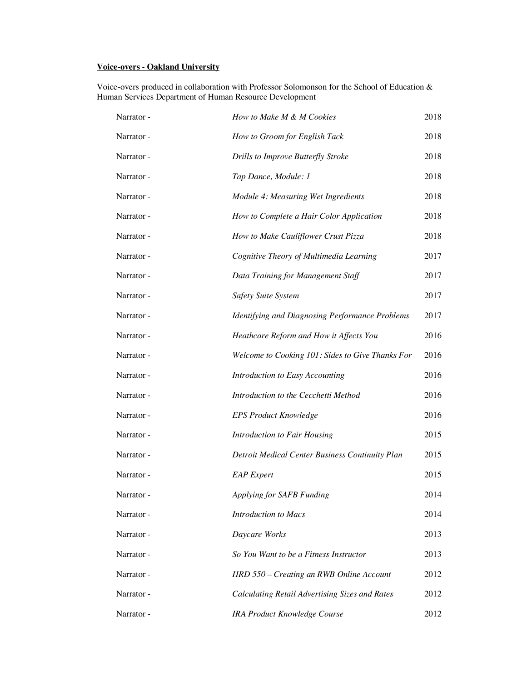# **Voice-overs - Oakland University**

Voice-overs produced in collaboration with Professor Solomonson for the School of Education & Human Services Department of Human Resource Development

| Narrator - | How to Make M & M Cookies                        | 2018 |
|------------|--------------------------------------------------|------|
| Narrator - | How to Groom for English Tack                    | 2018 |
| Narrator - | Drills to Improve Butterfly Stroke               | 2018 |
| Narrator - | Tap Dance, Module: 1                             | 2018 |
| Narrator - | Module 4: Measuring Wet Ingredients              | 2018 |
| Narrator - | How to Complete a Hair Color Application         | 2018 |
| Narrator - | How to Make Cauliflower Crust Pizza              | 2018 |
| Narrator - | Cognitive Theory of Multimedia Learning          | 2017 |
| Narrator - | Data Training for Management Staff               | 2017 |
| Narrator - | <b>Safety Suite System</b>                       | 2017 |
| Narrator - | Identifying and Diagnosing Performance Problems  | 2017 |
| Narrator - | Heathcare Reform and How it Affects You          | 2016 |
| Narrator - | Welcome to Cooking 101: Sides to Give Thanks For | 2016 |
| Narrator - | Introduction to Easy Accounting                  | 2016 |
| Narrator - | Introduction to the Cecchetti Method             | 2016 |
| Narrator - | <b>EPS Product Knowledge</b>                     | 2016 |
| Narrator - | Introduction to Fair Housing                     | 2015 |
| Narrator - | Detroit Medical Center Business Continuity Plan  | 2015 |
| Narrator - | <b>EAP</b> Expert                                | 2015 |
| Narrator - | Applying for SAFB Funding                        | 2014 |
| Narrator - | Introduction to Macs                             | 2014 |
| Narrator - | Daycare Works                                    | 2013 |
| Narrator - | So You Want to be a Fitness Instructor           | 2013 |
| Narrator - | HRD 550 - Creating an RWB Online Account         | 2012 |
| Narrator - | Calculating Retail Advertising Sizes and Rates   | 2012 |
| Narrator - | IRA Product Knowledge Course                     | 2012 |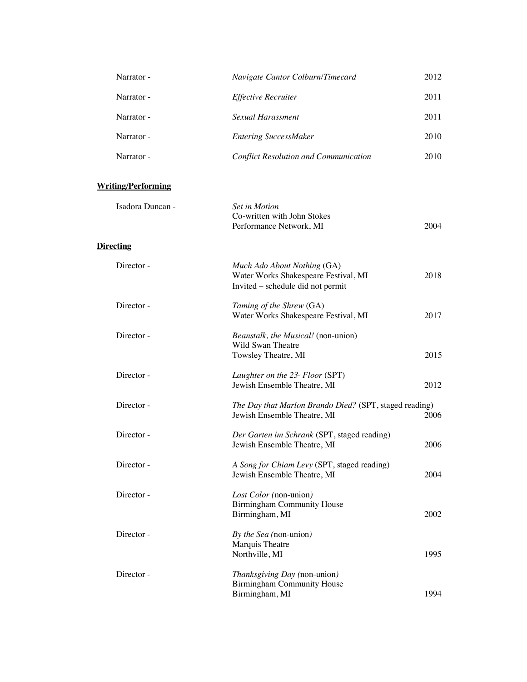| Narrator - | Navigate Cantor Colburn/Timecard             | 2012 |
|------------|----------------------------------------------|------|
| Narrator - | <i><b>Effective Recruiter</b></i>            | 2011 |
| Narrator - | Sexual Harassment                            | 2011 |
| Narrator - | <b>Entering SuccessMaker</b>                 | 2010 |
| Narrator - | <b>Conflict Resolution and Communication</b> | 2010 |

# **Writing/Performing**

| Isadora Duncan - | Set in Motion<br>Co-written with John Stokes<br>Performance Network, MI                                  | 2004 |
|------------------|----------------------------------------------------------------------------------------------------------|------|
| <b>Directing</b> |                                                                                                          |      |
| Director -       | Much Ado About Nothing (GA)<br>Water Works Shakespeare Festival, MI<br>Invited – schedule did not permit | 2018 |
| Director -       | Taming of the Shrew (GA)<br>Water Works Shakespeare Festival, MI                                         | 2017 |
| Director-        | Beanstalk, the Musical! (non-union)<br>Wild Swan Theatre<br>Towsley Theatre, MI                          | 2015 |
| Director -       | Laughter on the $23^{\scriptscriptstyle\#}$ Floor (SPT)<br>Jewish Ensemble Theatre, MI                   | 2012 |
| Director-        | The Day that Marlon Brando Died? (SPT, staged reading)<br>Jewish Ensemble Theatre, MI                    | 2006 |
| Director -       | Der Garten im Schrank (SPT, staged reading)<br>Jewish Ensemble Theatre, MI                               | 2006 |
| Director -       | A Song for Chiam Levy (SPT, staged reading)<br>Jewish Ensemble Theatre, MI                               | 2004 |
| Director -       | Lost Color (non-union)<br><b>Birmingham Community House</b><br>Birmingham, MI                            | 2002 |
| Director -       | By the Sea (non-union)<br>Marquis Theatre<br>Northville, MI                                              | 1995 |
| Director-        | Thanksgiving Day (non-union)<br><b>Birmingham Community House</b><br>Birmingham, MI                      | 1994 |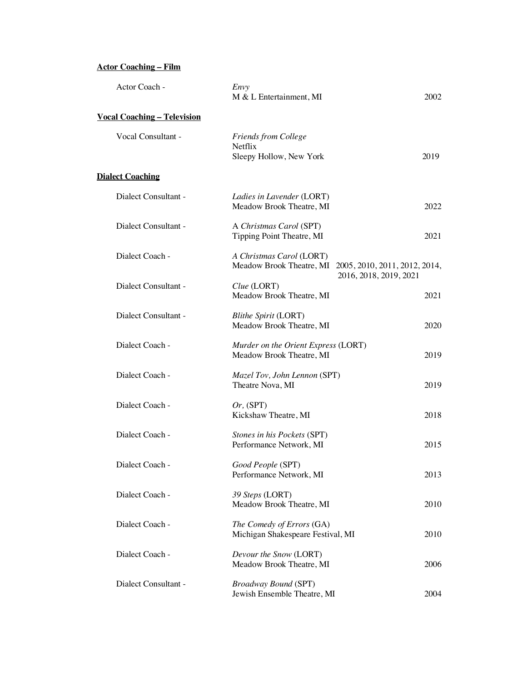# **Actor Coaching – Film**

| Actor Coach -                      | Envy<br>M & L Entertainment, MI                                                | 2002                          |
|------------------------------------|--------------------------------------------------------------------------------|-------------------------------|
| <b>Vocal Coaching - Television</b> |                                                                                |                               |
| Vocal Consultant -                 | <b>Friends from College</b><br>Netflix<br>Sleepy Hollow, New York              | 2019                          |
| <b>Dialect Coaching</b>            |                                                                                |                               |
| Dialect Consultant -               | Ladies in Lavender (LORT)<br>Meadow Brook Theatre, MI                          | 2022                          |
| Dialect Consultant -               | A Christmas Carol (SPT)<br>Tipping Point Theatre, MI                           | 2021                          |
| Dialect Coach -                    | A Christmas Carol (LORT)<br>Meadow Brook Theatre, MI<br>2016, 2018, 2019, 2021 | 2005, 2010, 2011, 2012, 2014, |
| Dialect Consultant -               | Clue (LORT)<br>Meadow Brook Theatre, MI                                        | 2021                          |
| Dialect Consultant -               | <b>Blithe Spirit (LORT)</b><br>Meadow Brook Theatre, MI                        | 2020                          |
| Dialect Coach -                    | Murder on the Orient Express (LORT)<br>Meadow Brook Theatre, MI                | 2019                          |
| Dialect Coach -                    | Mazel Tov, John Lennon (SPT)<br>Theatre Nova, MI                               | 2019                          |
| Dialect Coach -                    | $Or$ , (SPT)<br>Kickshaw Theatre, MI                                           | 2018                          |
| Dialect Coach -                    | Stones in his Pockets (SPT)<br>Performance Network, MI                         | 2015                          |
| Dialect Coach -                    | Good People (SPT)<br>Performance Network, MI                                   | 2013                          |
| Dialect Coach -                    | 39 Steps (LORT)<br>Meadow Brook Theatre, MI                                    | 2010                          |
| Dialect Coach -                    | The Comedy of Errors (GA)<br>Michigan Shakespeare Festival, MI                 | 2010                          |
| Dialect Coach -                    | Devour the Snow (LORT)<br>Meadow Brook Theatre, MI                             | 2006                          |
| Dialect Consultant -               | <b>Broadway Bound (SPT)</b><br>Jewish Ensemble Theatre, MI                     | 2004                          |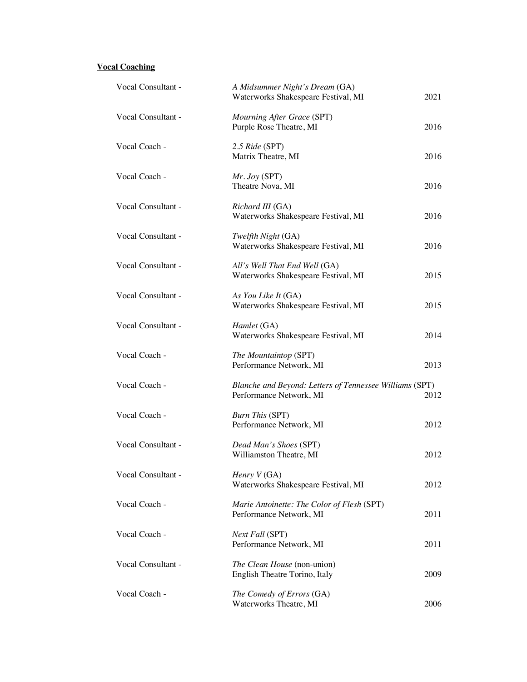## **Vocal Coaching**

| Vocal Consultant - | A Midsummer Night's Dream (GA)<br>Waterworks Shakespeare Festival, MI              | 2021 |
|--------------------|------------------------------------------------------------------------------------|------|
| Vocal Consultant - | Mourning After Grace (SPT)<br>Purple Rose Theatre, MI                              | 2016 |
| Vocal Coach -      | 2.5 Ride (SPT)<br>Matrix Theatre, MI                                               | 2016 |
| Vocal Coach -      | $Mr.$ Joy (SPT)<br>Theatre Nova, MI                                                | 2016 |
| Vocal Consultant - | Richard III (GA)<br>Waterworks Shakespeare Festival, MI                            | 2016 |
| Vocal Consultant - | Twelfth Night (GA)<br>Waterworks Shakespeare Festival, MI                          | 2016 |
| Vocal Consultant - | All's Well That End Well (GA)<br>Waterworks Shakespeare Festival, MI               | 2015 |
| Vocal Consultant - | As You Like It (GA)<br>Waterworks Shakespeare Festival, MI                         | 2015 |
| Vocal Consultant - | Hamlet (GA)<br>Waterworks Shakespeare Festival, MI                                 | 2014 |
| Vocal Coach -      | The Mountaintop (SPT)<br>Performance Network, MI                                   | 2013 |
| Vocal Coach -      | Blanche and Beyond: Letters of Tennessee Williams (SPT)<br>Performance Network, MI | 2012 |
| Vocal Coach -      | <b>Burn This (SPT)</b><br>Performance Network, MI                                  | 2012 |
| Vocal Consultant - | Dead Man's Shoes (SPT)<br>Williamston Theatre, MI                                  | 2012 |
| Vocal Consultant - | Henry $V(GA)$<br>Waterworks Shakespeare Festival, MI                               | 2012 |
| Vocal Coach -      | Marie Antoinette: The Color of Flesh (SPT)<br>Performance Network, MI              | 2011 |
| Vocal Coach -      | Next Fall (SPT)<br>Performance Network, MI                                         | 2011 |
| Vocal Consultant - | The Clean House (non-union)<br>English Theatre Torino, Italy                       | 2009 |
| Vocal Coach -      | The Comedy of Errors (GA)<br>Waterworks Theatre, MI                                | 2006 |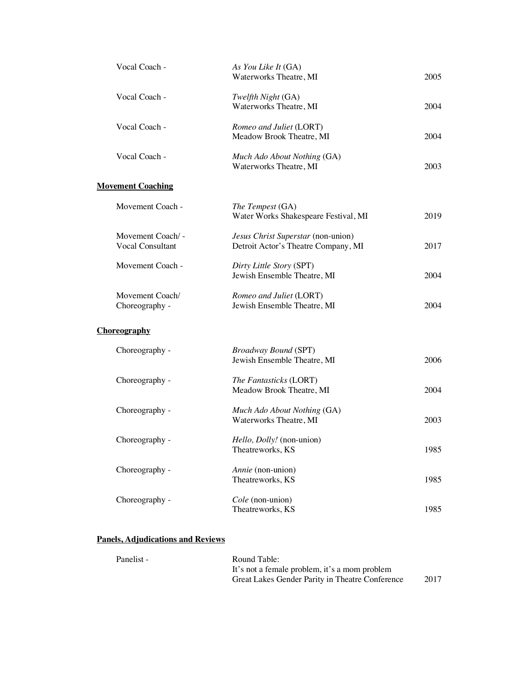| Vocal Coach -                                | As You Like It (GA)<br>Waterworks Theatre, MI                             | 2005 |
|----------------------------------------------|---------------------------------------------------------------------------|------|
| Vocal Coach -                                | Twelfth Night (GA)<br>Waterworks Theatre, MI                              | 2004 |
| Vocal Coach -                                | Romeo and Juliet (LORT)<br>Meadow Brook Theatre, MI                       | 2004 |
| Vocal Coach -                                | Much Ado About Nothing (GA)<br>Waterworks Theatre, MI                     | 2003 |
| <b>Movement Coaching</b>                     |                                                                           |      |
| Movement Coach -                             | The Tempest (GA)<br>Water Works Shakespeare Festival, MI                  | 2019 |
| Movement Coach/ -<br><b>Vocal Consultant</b> | Jesus Christ Superstar (non-union)<br>Detroit Actor's Theatre Company, MI | 2017 |
| Movement Coach -                             | Dirty Little Story (SPT)<br>Jewish Ensemble Theatre, MI                   | 2004 |
| Movement Coach/<br>Choreography -            | Romeo and Juliet (LORT)<br>Jewish Ensemble Theatre, MI                    | 2004 |
| Choreography                                 |                                                                           |      |
| Choreography -                               | <b>Broadway Bound (SPT)</b><br>Jewish Ensemble Theatre, MI                | 2006 |
| Choreography -                               | The Fantasticks (LORT)<br>Meadow Brook Theatre, MI                        | 2004 |
| Choreography -                               | Much Ado About Nothing (GA)<br>Waterworks Theatre, MI                     | 2003 |
| Choreography -                               | Hello, Dolly! (non-union)<br>Theatreworks, KS                             | 1985 |
| Choreography -                               | Annie (non-union)<br>Theatreworks, KS                                     | 1985 |
| Choreography -                               | Cole (non-union)<br>Theatreworks, KS                                      | 1985 |

## **Panels, Adjudications and Reviews**

| Panelist - | Round Table:                                    |      |
|------------|-------------------------------------------------|------|
|            | It's not a female problem, it's a mom problem   |      |
|            | Great Lakes Gender Parity in Theatre Conference | 2017 |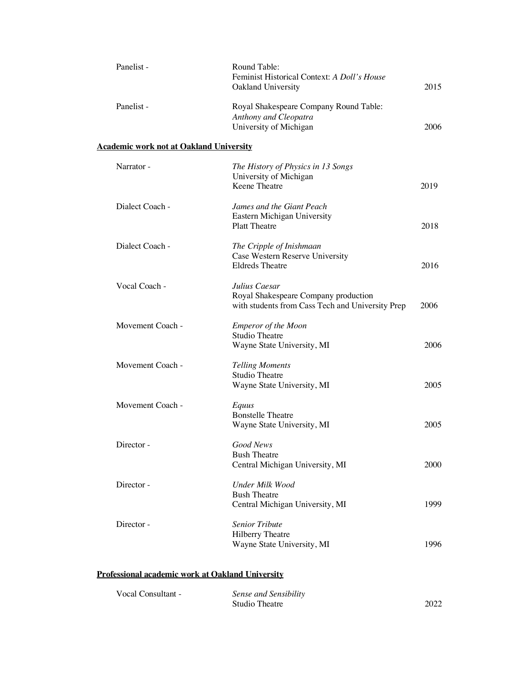| Panelist - | Round Table:<br>Feminist Historical Context: A Doll's House<br>Oakland University         | 2015 |
|------------|-------------------------------------------------------------------------------------------|------|
| Panelist - | Royal Shakespeare Company Round Table:<br>Anthony and Cleopatra<br>University of Michigan | 2006 |

## **Academic work not at Oakland University**

| Narrator -       | The History of Physics in 13 Songs<br>University of Michigan<br>Keene Theatre                             | 2019 |
|------------------|-----------------------------------------------------------------------------------------------------------|------|
| Dialect Coach -  | James and the Giant Peach<br>Eastern Michigan University<br><b>Platt Theatre</b>                          | 2018 |
| Dialect Coach -  | The Cripple of Inishmaan<br>Case Western Reserve University<br><b>Eldreds Theatre</b>                     | 2016 |
| Vocal Coach -    | Julius Caesar<br>Royal Shakespeare Company production<br>with students from Cass Tech and University Prep | 2006 |
| Movement Coach - | <b>Emperor of the Moon</b><br><b>Studio Theatre</b><br>Wayne State University, MI                         | 2006 |
| Movement Coach - | <b>Telling Moments</b><br><b>Studio Theatre</b><br>Wayne State University, MI                             | 2005 |
| Movement Coach - | Equus<br><b>Bonstelle Theatre</b><br>Wayne State University, MI                                           | 2005 |
| Director-        | Good News<br><b>Bush Theatre</b><br>Central Michigan University, MI                                       | 2000 |
| Director-        | Under Milk Wood<br><b>Bush Theatre</b><br>Central Michigan University, MI                                 | 1999 |
| Director -       | <b>Senior Tribute</b><br>Hilberry Theatre<br>Wayne State University, MI                                   | 1996 |

## **Professional academic work at Oakland University**

| Vocal Consultant - | Sense and Sensibility |      |
|--------------------|-----------------------|------|
|                    | Studio Theatre        | 2022 |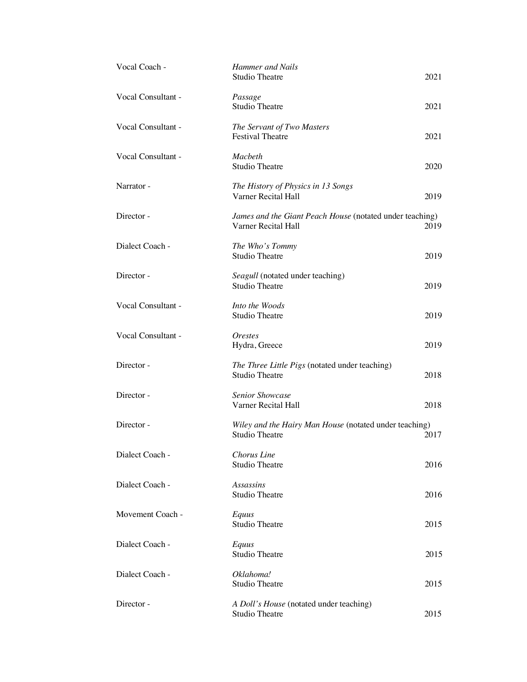| Vocal Coach -      | <b>Hammer</b> and Nails<br><b>Studio Theatre</b>                                | 2021 |
|--------------------|---------------------------------------------------------------------------------|------|
| Vocal Consultant - | Passage<br><b>Studio Theatre</b>                                                | 2021 |
| Vocal Consultant - | The Servant of Two Masters<br><b>Festival Theatre</b>                           | 2021 |
| Vocal Consultant - | Macbeth<br><b>Studio Theatre</b>                                                | 2020 |
| Narrator -         | The History of Physics in 13 Songs<br>Varner Recital Hall                       | 2019 |
| Director -         | James and the Giant Peach House (notated under teaching)<br>Varner Recital Hall | 2019 |
| Dialect Coach -    | The Who's Tommy<br>Studio Theatre                                               | 2019 |
| Director -         | Seagull (notated under teaching)<br><b>Studio Theatre</b>                       | 2019 |
| Vocal Consultant - | Into the Woods<br><b>Studio Theatre</b>                                         | 2019 |
| Vocal Consultant - | <i><b>Orestes</b></i><br>Hydra, Greece                                          | 2019 |
| Director-          | The Three Little Pigs (notated under teaching)<br><b>Studio Theatre</b>         | 2018 |
| Director -         | Senior Showcase<br>Varner Recital Hall                                          | 2018 |
| Director -         | Wiley and the Hairy Man House (notated under teaching)<br><b>Studio Theatre</b> | 2017 |
| Dialect Coach -    | Chorus Line<br><b>Studio Theatre</b>                                            | 2016 |
| Dialect Coach -    | <b>Assassins</b><br><b>Studio Theatre</b>                                       | 2016 |
| Movement Coach -   | Equus<br><b>Studio Theatre</b>                                                  | 2015 |
| Dialect Coach -    | Equus<br><b>Studio Theatre</b>                                                  | 2015 |
| Dialect Coach -    | Oklahoma!<br><b>Studio Theatre</b>                                              | 2015 |
| Director -         | A Doll's House (notated under teaching)<br><b>Studio Theatre</b>                | 2015 |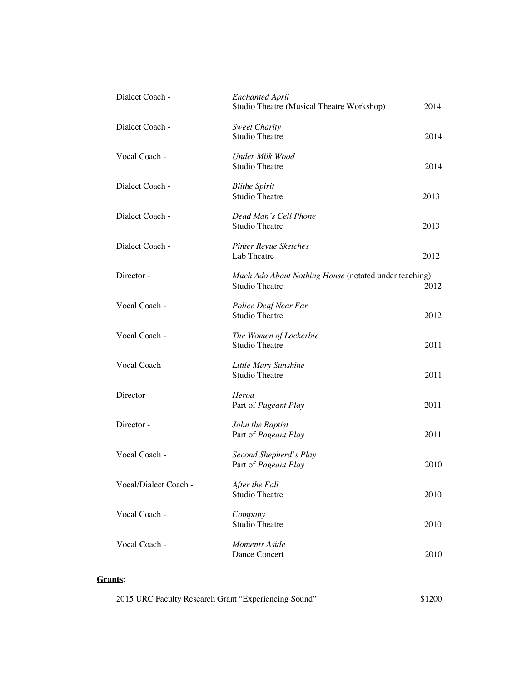| Dialect Coach -       | <b>Enchanted April</b><br>Studio Theatre (Musical Theatre Workshop)            | 2014 |
|-----------------------|--------------------------------------------------------------------------------|------|
| Dialect Coach -       | <b>Sweet Charity</b><br><b>Studio Theatre</b>                                  | 2014 |
| Vocal Coach -         | Under Milk Wood<br>Studio Theatre                                              | 2014 |
| Dialect Coach -       | <b>Blithe Spirit</b><br>Studio Theatre                                         | 2013 |
| Dialect Coach -       | Dead Man's Cell Phone<br><b>Studio Theatre</b>                                 | 2013 |
| Dialect Coach -       | <b>Pinter Revue Sketches</b><br>Lab Theatre                                    | 2012 |
| Director -            | Much Ado About Nothing House (notated under teaching)<br><b>Studio Theatre</b> | 2012 |
| Vocal Coach -         | Police Deaf Near Far<br><b>Studio Theatre</b>                                  | 2012 |
| Vocal Coach -         | The Women of Lockerbie<br><b>Studio Theatre</b>                                | 2011 |
| Vocal Coach -         | Little Mary Sunshine<br><b>Studio Theatre</b>                                  | 2011 |
| Director -            | <b>Herod</b><br>Part of Pageant Play                                           | 2011 |
| Director -            | John the Baptist<br>Part of Pageant Play                                       | 2011 |
| Vocal Coach -         | Second Shepherd's Play<br>Part of Pageant Play                                 | 2010 |
| Vocal/Dialect Coach - | After the Fall<br><b>Studio Theatre</b>                                        | 2010 |
| Vocal Coach -         | Company<br><b>Studio Theatre</b>                                               | 2010 |
| Vocal Coach -         | <b>Moments Aside</b><br>Dance Concert                                          | 2010 |

# **Grants:**

| 2015 URC Faculty Research Grant "Experiencing Sound" | \$1200 |
|------------------------------------------------------|--------|
|------------------------------------------------------|--------|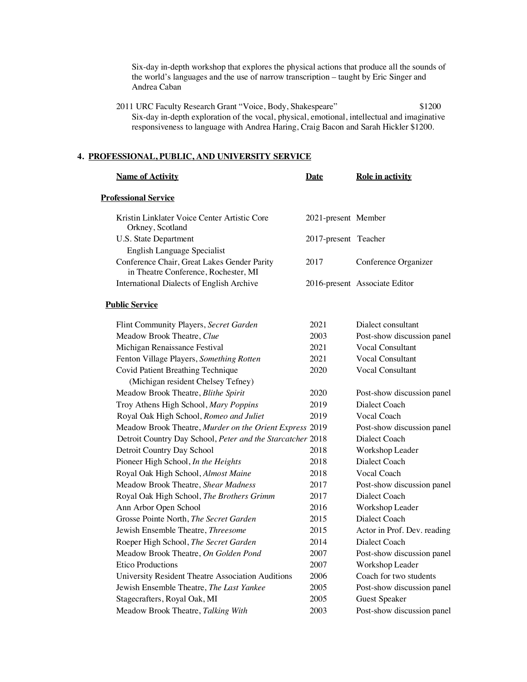Six-day in-depth workshop that explores the physical actions that produce all the sounds of the world's languages and the use of narrow transcription – taught by Eric Singer and Andrea Caban

2011 URC Faculty Research Grant "Voice, Body, Shakespeare" \$1200 Six-day in-depth exploration of the vocal, physical, emotional, intellectual and imaginative responsiveness to language with Andrea Haring, Craig Bacon and Sarah Hickler \$1200.

### **4. PROFESSIONAL, PUBLIC, AND UNIVERSITY SERVICE**

| <b>Name of Activity</b>                                                             | Date                 | <b>Role in activity</b>       |
|-------------------------------------------------------------------------------------|----------------------|-------------------------------|
| <b>Professional Service</b>                                                         |                      |                               |
| Kristin Linklater Voice Center Artistic Core<br>Orkney, Scotland                    | 2021-present Member  |                               |
| U.S. State Department<br>English Language Specialist                                | 2017-present Teacher |                               |
| Conference Chair, Great Lakes Gender Parity<br>in Theatre Conference, Rochester, MI | 2017                 | Conference Organizer          |
| International Dialects of English Archive                                           |                      | 2016-present Associate Editor |
| <b>Public Service</b>                                                               |                      |                               |
| Flint Community Players, Secret Garden                                              | 2021                 | Dialect consultant            |
| Meadow Brook Theatre, Clue                                                          | 2003                 | Post-show discussion panel    |
| Michigan Renaissance Festival                                                       | 2021                 | Vocal Consultant              |
| Fenton Village Players, Something Rotten                                            | 2021                 | Vocal Consultant              |
| Covid Patient Breathing Technique                                                   | 2020                 | Vocal Consultant              |
| (Michigan resident Chelsey Tefney)                                                  |                      |                               |
| Meadow Brook Theatre, Blithe Spirit                                                 | 2020                 | Post-show discussion panel    |
| Troy Athens High School, Mary Poppins                                               | 2019                 | Dialect Coach                 |
| Royal Oak High School, Romeo and Juliet                                             | 2019                 | Vocal Coach                   |
| Meadow Brook Theatre, Murder on the Orient Express 2019                             |                      | Post-show discussion panel    |
| Detroit Country Day School, Peter and the Starcatcher 2018                          |                      | Dialect Coach                 |
| Detroit Country Day School                                                          | 2018                 | Workshop Leader               |
| Pioneer High School, In the Heights                                                 | 2018                 | Dialect Coach                 |
| Royal Oak High School, Almost Maine                                                 | 2018                 | Vocal Coach                   |
| Meadow Brook Theatre, Shear Madness                                                 | 2017                 | Post-show discussion panel    |
| Royal Oak High School, The Brothers Grimm                                           | 2017                 | Dialect Coach                 |
| Ann Arbor Open School                                                               | 2016                 | Workshop Leader               |
| Grosse Pointe North, The Secret Garden                                              | 2015                 | Dialect Coach                 |
| Jewish Ensemble Theatre, Threesome                                                  | 2015                 | Actor in Prof. Dev. reading   |
| Roeper High School, The Secret Garden                                               | 2014                 | Dialect Coach                 |
| Meadow Brook Theatre, On Golden Pond                                                | 2007                 | Post-show discussion panel    |
| <b>Etico Productions</b>                                                            | 2007                 | Workshop Leader               |
| University Resident Theatre Association Auditions                                   | 2006                 | Coach for two students        |
| Jewish Ensemble Theatre, The Last Yankee                                            | 2005                 | Post-show discussion panel    |
| Stagecrafters, Royal Oak, MI                                                        | 2005                 | <b>Guest Speaker</b>          |
| Meadow Brook Theatre, Talking With                                                  | 2003                 | Post-show discussion panel    |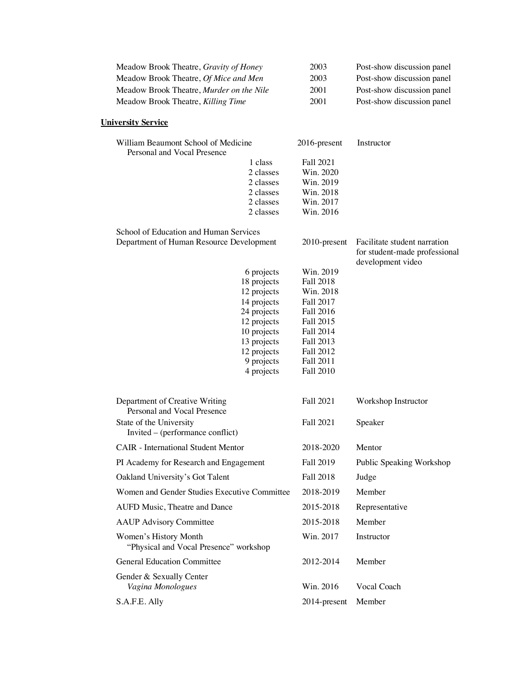| Meadow Brook Theatre, Gravity of Honey                             | 2003                          | Post-show discussion panel                                                         |
|--------------------------------------------------------------------|-------------------------------|------------------------------------------------------------------------------------|
| Meadow Brook Theatre, Of Mice and Men                              | 2003                          | Post-show discussion panel                                                         |
| Meadow Brook Theatre, Murder on the Nile                           | 2001                          | Post-show discussion panel                                                         |
| Meadow Brook Theatre, Killing Time                                 | 2001                          | Post-show discussion panel                                                         |
| <b>University Service</b>                                          |                               |                                                                                    |
| William Beaumont School of Medicine<br>Personal and Vocal Presence | 2016-present                  | Instructor                                                                         |
| 1 class                                                            | <b>Fall 2021</b>              |                                                                                    |
| 2 classes                                                          | Win. 2020                     |                                                                                    |
| 2 classes<br>2 classes                                             | Win. 2019<br>Win. 2018        |                                                                                    |
| 2 classes                                                          | Win. 2017                     |                                                                                    |
| 2 classes                                                          | Win. 2016                     |                                                                                    |
| School of Education and Human Services                             |                               |                                                                                    |
| Department of Human Resource Development                           | 2010-present                  | Facilitate student narration<br>for student-made professional<br>development video |
| 6 projects                                                         | Win. 2019                     |                                                                                    |
| 18 projects                                                        | Fall 2018                     |                                                                                    |
| 12 projects                                                        | Win. 2018                     |                                                                                    |
| 14 projects<br>24 projects                                         | Fall 2017<br><b>Fall 2016</b> |                                                                                    |
| 12 projects                                                        | Fall 2015                     |                                                                                    |
| 10 projects                                                        | Fall 2014                     |                                                                                    |
| 13 projects                                                        | Fall 2013                     |                                                                                    |
| 12 projects                                                        | Fall 2012<br>Fall 2011        |                                                                                    |
| 9 projects<br>4 projects                                           | <b>Fall 2010</b>              |                                                                                    |
| Department of Creative Writing                                     | Fall 2021                     | Workshop Instructor                                                                |
| Personal and Vocal Presence                                        |                               |                                                                                    |
| State of the University<br>Invited – (performance conflict)        | <b>Fall 2021</b>              | Speaker                                                                            |
| <b>CAIR</b> - International Student Mentor                         | 2018-2020                     | Mentor                                                                             |
| PI Academy for Research and Engagement                             | Fall 2019                     | Public Speaking Workshop                                                           |
| Oakland University's Got Talent                                    | <b>Fall 2018</b>              | Judge                                                                              |
| Women and Gender Studies Executive Committee                       | 2018-2019                     | Member                                                                             |
| AUFD Music, Theatre and Dance                                      | 2015-2018                     | Representative                                                                     |
| <b>AAUP Advisory Committee</b>                                     | 2015-2018                     | Member                                                                             |
| Women's History Month<br>"Physical and Vocal Presence" workshop    | Win. 2017                     | Instructor                                                                         |
| <b>General Education Committee</b>                                 | 2012-2014                     | Member                                                                             |
| Gender & Sexually Center<br>Vagina Monologues                      | Win. 2016                     | Vocal Coach                                                                        |
| S.A.F.E. Ally                                                      | 2014-present                  | Member                                                                             |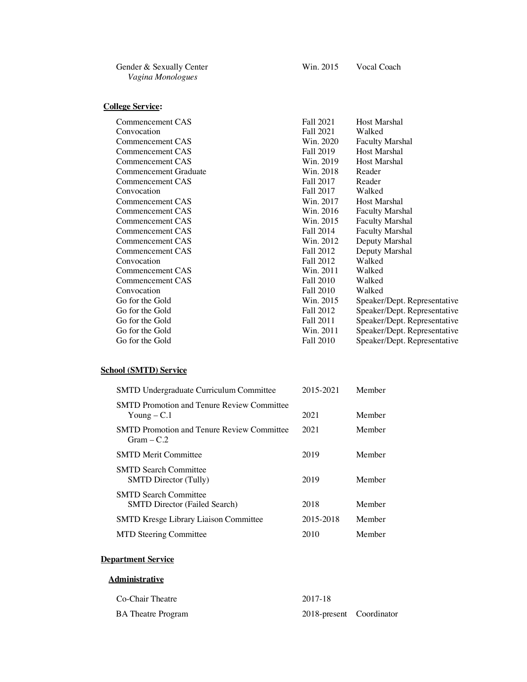| Fall 2021        | <b>Host Marshal</b>          |
|------------------|------------------------------|
| Fall 2021        | Walked                       |
| Win. 2020        | <b>Faculty Marshal</b>       |
| Fall 2019        | <b>Host Marshal</b>          |
| Win. 2019        | <b>Host Marshal</b>          |
| Win. 2018        | Reader                       |
| Fall 2017        | Reader                       |
| Fall 2017        | Walked                       |
| Win. 2017        | Host Marshal                 |
| Win. 2016        | <b>Faculty Marshal</b>       |
| Win. 2015        | <b>Faculty Marshal</b>       |
| Fall 2014        | <b>Faculty Marshal</b>       |
| Win. 2012        | Deputy Marshal               |
| Fall 2012        | Deputy Marshal               |
| Fall 2012        | Walked                       |
| Win. 2011        | Walked                       |
| <b>Fall 2010</b> | Walked                       |
| <b>Fall 2010</b> | Walked                       |
| Win. 2015        | Speaker/Dept. Representative |
| Fall 2012        | Speaker/Dept. Representative |
| <b>Fall 2011</b> | Speaker/Dept. Representative |
| Win. 2011        | Speaker/Dept. Representative |
| Fall 2010        | Speaker/Dept. Representative |
|                  |                              |

Gender & Sexually Center Win. 2015 Vocal Coach

# **School (SMTD) Service**

| <b>SMTD Undergraduate Curriculum Committee</b>                       | 2015-2021 | Member |
|----------------------------------------------------------------------|-----------|--------|
| <b>SMTD</b> Promotion and Tenure Review Committee<br>Young $- C.1$   | 2021      | Member |
| <b>SMTD</b> Promotion and Tenure Review Committee<br>$Gram - C.2$    | 2021      | Member |
| <b>SMTD Merit Committee</b>                                          | 2019      | Member |
| <b>SMTD Search Committee</b><br><b>SMTD Director (Tully)</b>         | 2019      | Member |
| <b>SMTD Search Committee</b><br><b>SMTD Director (Failed Search)</b> | 2018      | Member |
| <b>SMTD Kresge Library Liaison Committee</b>                         | 2015-2018 | Member |
| <b>MTD Steering Committee</b>                                        | 2010      | Member |

# **Department Service**

# **Administrative**

| Co-Chair Theatre          | 2017-18                  |  |
|---------------------------|--------------------------|--|
| <b>BA</b> Theatre Program | 2018-present Coordinator |  |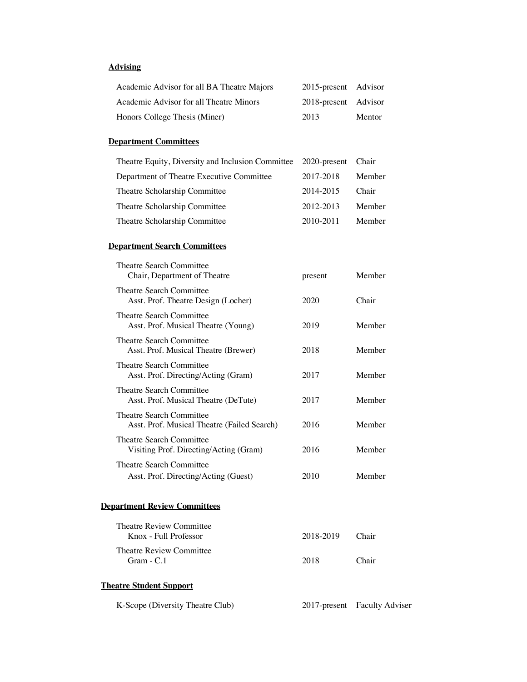## **Advising**

| Academic Advisor for all BA Theatre Majors | 2015-present Advisor |        |
|--------------------------------------------|----------------------|--------|
| Academic Advisor for all Theatre Minors    | 2018-present Advisor |        |
| Honors College Thesis (Miner)              | 2013                 | Mentor |

## **Department Committees**

| Theatre Equity, Diversity and Inclusion Committee 2020-present Chair |           |        |
|----------------------------------------------------------------------|-----------|--------|
| Department of Theatre Executive Committee                            | 2017-2018 | Member |
| Theatre Scholarship Committee                                        | 2014-2015 | Chair  |
| Theatre Scholarship Committee                                        | 2012-2013 | Member |
| Theatre Scholarship Committee                                        | 2010-2011 | Member |

#### **Department Search Committees**

| Theatre Search Committee<br>Chair, Department of Theatre                | present | Member |
|-------------------------------------------------------------------------|---------|--------|
| Theatre Search Committee<br>Asst. Prof. Theatre Design (Locher)         | 2020    | Chair  |
| Theatre Search Committee<br>Asst. Prof. Musical Theatre (Young)         | 2019    | Member |
| <b>Theatre Search Committee</b><br>Asst. Prof. Musical Theatre (Brewer) | 2018    | Member |
| Theatre Search Committee<br>Asst. Prof. Directing/Acting (Gram)         | 2017    | Member |
| Theatre Search Committee<br>Asst. Prof. Musical Theatre (DeTute)        | 2017    | Member |
| Theatre Search Committee<br>Asst. Prof. Musical Theatre (Failed Search) | 2016    | Member |
| Theatre Search Committee<br>Visiting Prof. Directing/Acting (Gram)      | 2016    | Member |
| <b>Theatre Search Committee</b>                                         |         |        |
| Asst. Prof. Directing/Acting (Guest)                                    | 2010    | Member |

## **Department Review Committees**

| Theatre Review Committee<br>Knox - Full Professor | 2018-2019 Chair |       |
|---------------------------------------------------|-----------------|-------|
| Theatre Review Committee<br>$Gram - C.1$          | 2018            | Chair |

## **Theatre Student Support**

| K-Scope (Diversity Theatre Club) |  | 2017-present Faculty Adviser |
|----------------------------------|--|------------------------------|
|                                  |  |                              |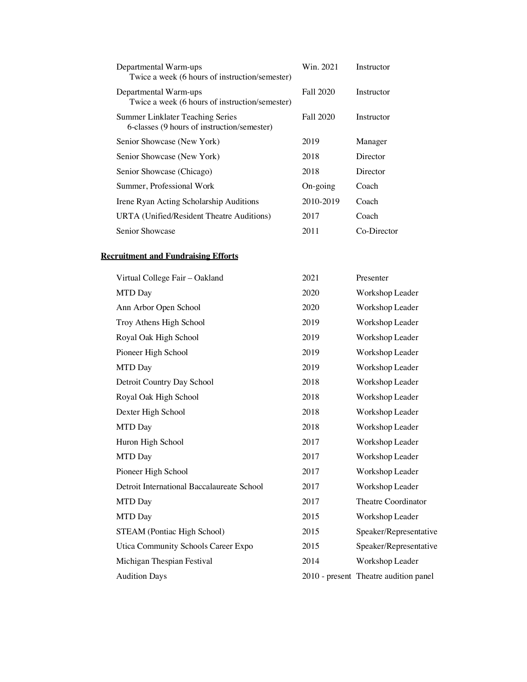| Departmental Warm-ups<br>Twice a week (6 hours of instruction/semester)         | Win. 2021         | Instructor  |
|---------------------------------------------------------------------------------|-------------------|-------------|
| Departmental Warm-ups<br>Twice a week (6 hours of instruction/semester)         | Fall 2020         | Instructor  |
| Summer Linklater Teaching Series<br>6-classes (9 hours of instruction/semester) | Fall 2020         | Instructor  |
| Senior Showcase (New York)                                                      | 2019              | Manager     |
| Senior Showcase (New York)                                                      | 2018              | Director    |
| Senior Showcase (Chicago)                                                       | 2018              | Director    |
| Summer, Professional Work                                                       | $On\text{-going}$ | Coach       |
| Irene Ryan Acting Scholarship Auditions                                         | 2010-2019         | Coach       |
| URTA (Unified/Resident Theatre Auditions)                                       | 2017              | Coach       |
| Senior Showcase                                                                 | 2011              | Co-Director |

## **Recruitment and Fundraising Efforts**

| 2021 | Presenter                             |
|------|---------------------------------------|
| 2020 | Workshop Leader                       |
| 2020 | Workshop Leader                       |
| 2019 | Workshop Leader                       |
| 2019 | Workshop Leader                       |
| 2019 | Workshop Leader                       |
| 2019 | Workshop Leader                       |
| 2018 | Workshop Leader                       |
| 2018 | Workshop Leader                       |
| 2018 | Workshop Leader                       |
| 2018 | Workshop Leader                       |
| 2017 | Workshop Leader                       |
| 2017 | Workshop Leader                       |
| 2017 | Workshop Leader                       |
| 2017 | Workshop Leader                       |
| 2017 | Theatre Coordinator                   |
| 2015 | Workshop Leader                       |
| 2015 | Speaker/Representative                |
| 2015 | Speaker/Representative                |
| 2014 | Workshop Leader                       |
|      | 2010 - present Theatre audition panel |
|      |                                       |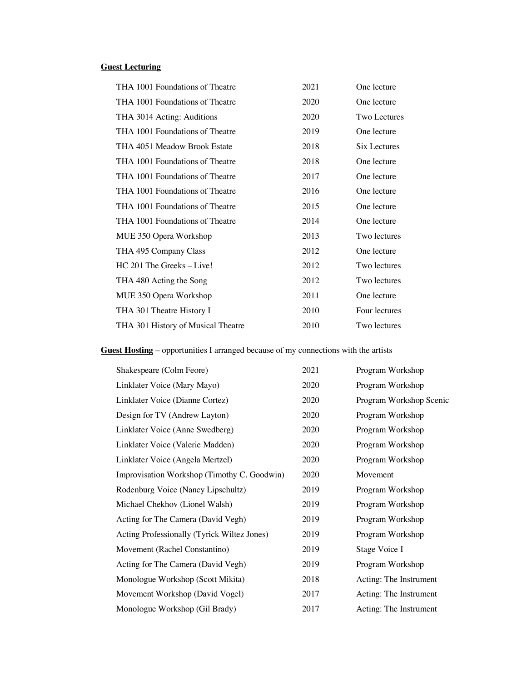## **Guest Lecturing**

| THA 1001 Foundations of Theatre    | 2021 | One lecture   |
|------------------------------------|------|---------------|
| THA 1001 Foundations of Theatre    | 2020 | One lecture   |
| THA 3014 Acting: Auditions         | 2020 | Two Lectures  |
| THA 1001 Foundations of Theatre    | 2019 | One lecture   |
| THA 4051 Meadow Brook Estate       | 2018 | Six Lectures  |
| THA 1001 Foundations of Theatre    | 2018 | One lecture   |
| THA 1001 Foundations of Theatre    | 2017 | One lecture   |
| THA 1001 Foundations of Theatre    | 2016 | One lecture   |
| THA 1001 Foundations of Theatre    | 2015 | One lecture   |
| THA 1001 Foundations of Theatre    | 2014 | One lecture   |
| MUE 350 Opera Workshop             | 2013 | Two lectures  |
| THA 495 Company Class              | 2012 | One lecture   |
| HC 201 The Greeks - Live!          | 2012 | Two lectures  |
| THA 480 Acting the Song            | 2012 | Two lectures  |
| MUE 350 Opera Workshop             | 2011 | One lecture   |
| THA 301 Theatre History I          | 2010 | Four lectures |
| THA 301 History of Musical Theatre | 2010 | Two lectures  |

# **Guest Hosting** – opportunities I arranged because of my connections with the artists

| Shakespeare (Colm Feore)                    | 2021 | Program Workshop        |
|---------------------------------------------|------|-------------------------|
| Linklater Voice (Mary Mayo)                 | 2020 | Program Workshop        |
| Linklater Voice (Dianne Cortez)             | 2020 | Program Workshop Scenic |
| Design for TV (Andrew Layton)               | 2020 | Program Workshop        |
| Linklater Voice (Anne Swedberg)             | 2020 | Program Workshop        |
| Linklater Voice (Valerie Madden)            | 2020 | Program Workshop        |
| Linklater Voice (Angela Mertzel)            | 2020 | Program Workshop        |
| Improvisation Workshop (Timothy C. Goodwin) | 2020 | Movement                |
| Rodenburg Voice (Nancy Lipschultz)          | 2019 | Program Workshop        |
| Michael Chekhov (Lionel Walsh)              | 2019 | Program Workshop        |
| Acting for The Camera (David Vegh)          | 2019 | Program Workshop        |
| Acting Professionally (Tyrick Wiltez Jones) | 2019 | Program Workshop        |
| Movement (Rachel Constantino)               | 2019 | Stage Voice I           |
| Acting for The Camera (David Vegh)          | 2019 | Program Workshop        |
| Monologue Workshop (Scott Mikita)           | 2018 | Acting: The Instrument  |
| Movement Workshop (David Vogel)             | 2017 | Acting: The Instrument  |
| Monologue Workshop (Gil Brady)              | 2017 | Acting: The Instrument  |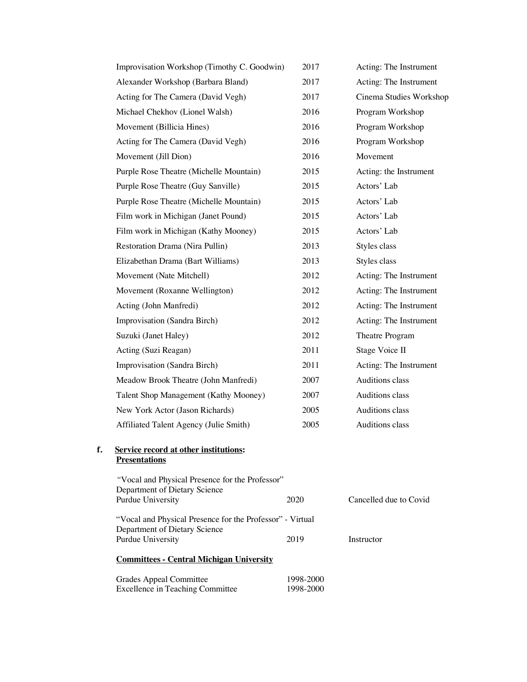|    | Improvisation Workshop (Timothy C. Goodwin)                                                | 2017                   | Acting: The Instrument  |
|----|--------------------------------------------------------------------------------------------|------------------------|-------------------------|
|    | Alexander Workshop (Barbara Bland)                                                         | 2017                   | Acting: The Instrument  |
|    | Acting for The Camera (David Vegh)                                                         | 2017                   | Cinema Studies Workshop |
|    | Michael Chekhov (Lionel Walsh)                                                             | 2016                   | Program Workshop        |
|    | Movement (Billicia Hines)                                                                  | 2016                   | Program Workshop        |
|    | Acting for The Camera (David Vegh)                                                         | 2016                   | Program Workshop        |
|    | Movement (Jill Dion)                                                                       | 2016                   | Movement                |
|    | Purple Rose Theatre (Michelle Mountain)                                                    | 2015                   | Acting: the Instrument  |
|    | Purple Rose Theatre (Guy Sanville)                                                         | 2015                   | Actors' Lab             |
|    | Purple Rose Theatre (Michelle Mountain)                                                    | 2015                   | Actors' Lab             |
|    | Film work in Michigan (Janet Pound)                                                        | 2015                   | Actors' Lab             |
|    | Film work in Michigan (Kathy Mooney)                                                       | 2015                   | Actors' Lab             |
|    | Restoration Drama (Nira Pullin)                                                            | 2013                   | Styles class            |
|    | Elizabethan Drama (Bart Williams)                                                          | 2013                   | Styles class            |
|    | Movement (Nate Mitchell)                                                                   | 2012                   | Acting: The Instrument  |
|    | Movement (Roxanne Wellington)                                                              | 2012                   | Acting: The Instrument  |
|    | Acting (John Manfredi)                                                                     | 2012                   | Acting: The Instrument  |
|    | Improvisation (Sandra Birch)                                                               | 2012                   | Acting: The Instrument  |
|    | Suzuki (Janet Haley)                                                                       | 2012                   | Theatre Program         |
|    | Acting (Suzi Reagan)                                                                       | 2011                   | Stage Voice II          |
|    | Improvisation (Sandra Birch)                                                               | 2011                   | Acting: The Instrument  |
|    | Meadow Brook Theatre (John Manfredi)                                                       | 2007                   | Auditions class         |
|    | Talent Shop Management (Kathy Mooney)                                                      | 2007                   | Auditions class         |
|    | New York Actor (Jason Richards)                                                            | 2005                   | Auditions class         |
|    | Affiliated Talent Agency (Julie Smith)                                                     | 2005                   | Auditions class         |
| f. | <b>Service record at other institutions:</b><br><b>Presentations</b>                       |                        |                         |
|    | "Vocal and Physical Presence for the Professor"<br>Department of Dietary Science           |                        |                         |
|    | Purdue University                                                                          | 2020                   | Cancelled due to Covid  |
|    | "Vocal and Physical Presence for the Professor" - Virtual<br>Department of Dietary Science |                        |                         |
|    | Purdue University                                                                          | 2019                   | Instructor              |
|    | <b>Committees - Central Michigan University</b>                                            |                        |                         |
|    | <b>Grades Appeal Committee</b><br><b>Excellence in Teaching Committee</b>                  | 1998-2000<br>1998-2000 |                         |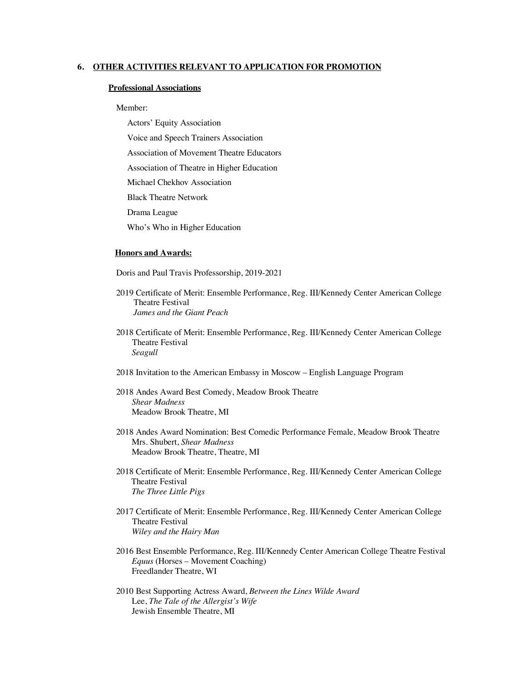#### **6. OTHER ACTIVITIES RELEVANT TO APPLICATION FOR PROMOTION**

#### **Professional Associations**

#### Member:

- Actors' Equity Association
- Voice and Speech Trainers Association
- Association of Movement Theatre Educators
- Association of Theatre in Higher Education
- Michael Chekhov Association
- Black Theatre Network
- Drama League
- Who's Who in Higher Education

#### **Honors and Awards:**

Doris and Paul Travis Professorship, 2019-2021

- 2019 Certificate of Merit: Ensemble Performance, Reg. III/Kennedy Center American College Theatre Festival *James and the Giant Peach*
- 2018 Certificate of Merit: Ensemble Performance, Reg. III/Kennedy Center American College Theatre Festival *Seagull*
- 2018 Invitation to the American Embassy in Moscow English Language Program
- 2018 Andes Award Best Comedy, Meadow Brook Theatre *Shear Madness* Meadow Brook Theatre, MI
- 2018 Andes Award Nomination: Best Comedic Performance Female, Meadow Brook Theatre Mrs. Shubert, *Shear Madness* Meadow Brook Theatre, Theatre, MI
- 2018 Certificate of Merit: Ensemble Performance, Reg. III/Kennedy Center American College Theatre Festival *The Three Little Pigs*
- 2017 Certificate of Merit: Ensemble Performance, Reg. III/Kennedy Center American College Theatre Festival *Wiley and the Hairy Man*
- 2016 Best Ensemble Performance, Reg. III/Kennedy Center American College Theatre Festival *Equus* (Horses – Movement Coaching) Freedlander Theatre, WI
- 2010 Best Supporting Actress Award, *Between the Lines Wilde Award* Lee, *The Tale of the Allergist's Wife* Jewish Ensemble Theatre, MI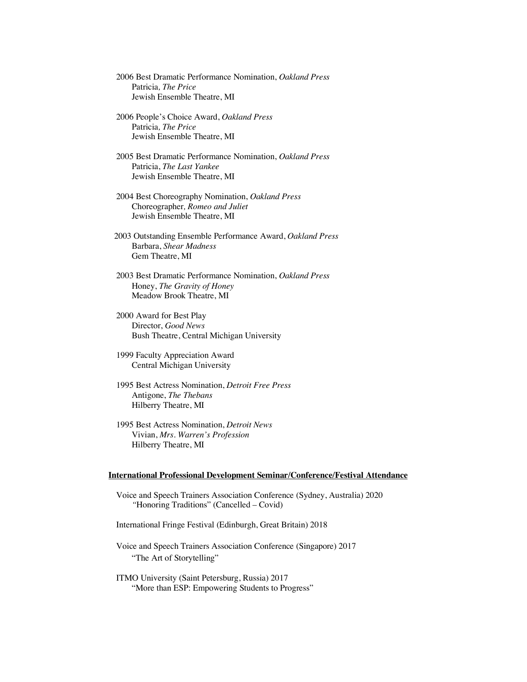2006 Best Dramatic Performance Nomination, *Oakland Press* Patricia*, The Price* Jewish Ensemble Theatre, MI

2006 People's Choice Award, *Oakland Press* Patricia*, The Price* Jewish Ensemble Theatre, MI

2005 Best Dramatic Performance Nomination, *Oakland Press* Patricia, *The Last Yankee* Jewish Ensemble Theatre, MI

2004 Best Choreography Nomination, *Oakland Press* Choreographer*, Romeo and Juliet* Jewish Ensemble Theatre, MI

 2003 Outstanding Ensemble Performance Award, *Oakland Press* Barbara, *Shear Madness* Gem Theatre, MI

 2003 Best Dramatic Performance Nomination, *Oakland Press* Honey, *The Gravity of Honey* Meadow Brook Theatre, MI

2000 Award for Best Play Director, *Good News* Bush Theatre, Central Michigan University

1999 Faculty Appreciation Award Central Michigan University

1995 Best Actress Nomination, *Detroit Free Press* Antigone, *The Thebans* Hilberry Theatre, MI

1995 Best Actress Nomination, *Detroit News* Vivian, *Mrs. Warren's Profession* Hilberry Theatre, MI

#### **International Professional Development Seminar/Conference/Festival Attendance**

Voice and Speech Trainers Association Conference (Sydney, Australia) 2020 *"*Honoring Traditions" (Cancelled – Covid)

International Fringe Festival (Edinburgh, Great Britain) 2018

Voice and Speech Trainers Association Conference (Singapore) 2017 "The Art of Storytelling"

ITMO University (Saint Petersburg, Russia) 2017 "More than ESP: Empowering Students to Progress"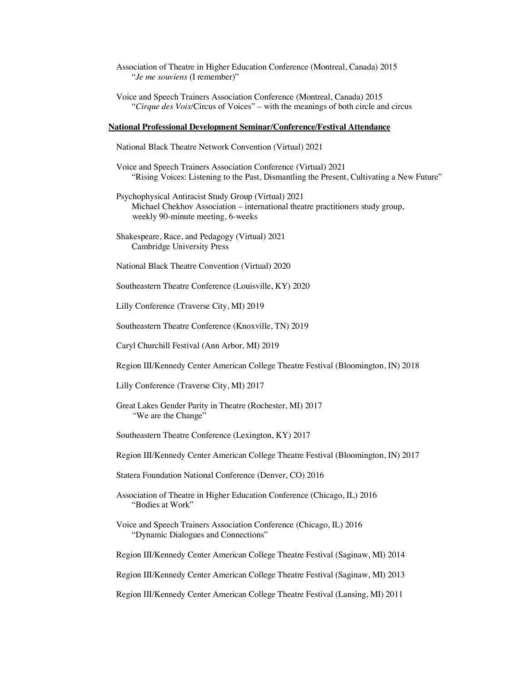Association of Theatre in Higher Education Conference (Montreal, Canada) 2015 "*Je me souviens* (I remember)"

Voice and Speech Trainers Association Conference (Montreal, Canada) 2015 "*Cirque des Voix/*Circus of Voices" – with the meanings of both circle and circus

#### **National Professional Development Seminar/Conference/Festival Attendance**

National Black Theatre Network Convention (Virtual) 2021

Voice and Speech Trainers Association Conference (Virtual) 2021 "Rising Voices: Listening to the Past, Dismantling the Present, Cultivating a New Future"

Psychophysical Antiracist Study Group (Virtual) 2021 Michael Chekhov Association – international theatre practitioners study group, weekly 90-minute meeting, 6-weeks

- Shakespeare, Race, and Pedagogy (Virtual) 2021 Cambridge University Press
- National Black Theatre Convention (Virtual) 2020

Southeastern Theatre Conference (Louisville, KY) 2020

Lilly Conference (Traverse City, MI) 2019

Southeastern Theatre Conference (Knoxville, TN) 2019

Caryl Churchill Festival (Ann Arbor, MI) 2019

Region III/Kennedy Center American College Theatre Festival (Bloomington, IN) 2018

Lilly Conference (Traverse City, MI) 2017

- Great Lakes Gender Parity in Theatre (Rochester, MI) 2017  *"*We are the Change"
- Southeastern Theatre Conference (Lexington, KY) 2017

Region III/Kennedy Center American College Theatre Festival (Bloomington, IN) 2017

- Statera Foundation National Conference (Denver, CO) 2016
- Association of Theatre in Higher Education Conference (Chicago, IL) 2016 "Bodies at Work"
- Voice and Speech Trainers Association Conference (Chicago, IL) 2016 "Dynamic Dialogues and Connections"

Region III/Kennedy Center American College Theatre Festival (Saginaw, MI) 2014

Region III/Kennedy Center American College Theatre Festival (Saginaw, MI) 2013

Region III/Kennedy Center American College Theatre Festival (Lansing, MI) 2011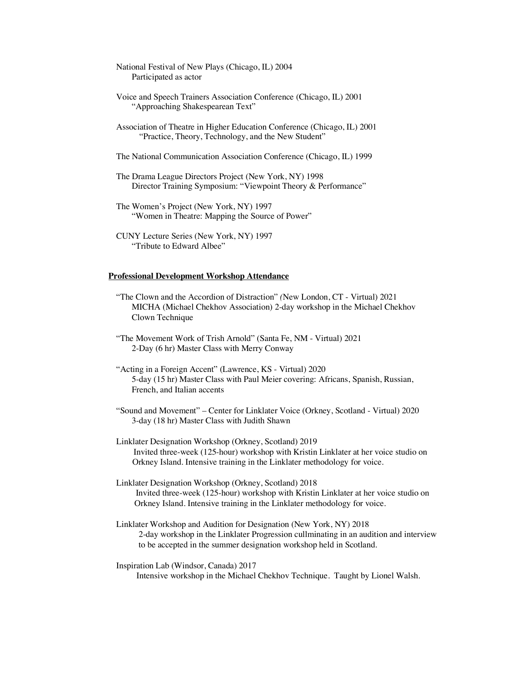National Festival of New Plays (Chicago, IL) 2004 Participated as actor

Voice and Speech Trainers Association Conference (Chicago, IL) 2001 "Approaching Shakespearean Text"

Association of Theatre in Higher Education Conference (Chicago, IL) 2001 "Practice, Theory, Technology, and the New Student"

- The National Communication Association Conference (Chicago, IL) 1999
- The Drama League Directors Project (New York, NY) 1998 Director Training Symposium: "Viewpoint Theory & Performance"
- The Women's Project (New York, NY) 1997 "Women in Theatre: Mapping the Source of Power"
- CUNY Lecture Series (New York, NY) 1997 "Tribute to Edward Albee"

#### **Professional Development Workshop Attendance**

- "The Clown and the Accordion of Distraction" *(*New London, CT Virtual) 2021 MICHA (Michael Chekhov Association) 2-day workshop in the Michael Chekhov Clown Technique
- "The Movement Work of Trish Arnold" (Santa Fe, NM Virtual) 2021 2-Day (6 hr) Master Class with Merry Conway
- "Acting in a Foreign Accent" (Lawrence, KS Virtual) 2020 5-day (15 hr) Master Class with Paul Meier covering: Africans, Spanish, Russian, French, and Italian accents
- "Sound and Movement" Center for Linklater Voice (Orkney, Scotland Virtual) 2020 3-day (18 hr) Master Class with Judith Shawn
- Linklater Designation Workshop (Orkney, Scotland) 2019 Invited three-week (125-hour) workshop with Kristin Linklater at her voice studio on Orkney Island. Intensive training in the Linklater methodology for voice.
- Linklater Designation Workshop (Orkney, Scotland) 2018 Invited three-week (125-hour) workshop with Kristin Linklater at her voice studio on Orkney Island. Intensive training in the Linklater methodology for voice.
- Linklater Workshop and Audition for Designation (New York, NY) 2018 2-day workshop in the Linklater Progression cullminating in an audition and interview to be accepted in the summer designation workshop held in Scotland.
- Inspiration Lab (Windsor, Canada) 2017 Intensive workshop in the Michael Chekhov Technique. Taught by Lionel Walsh.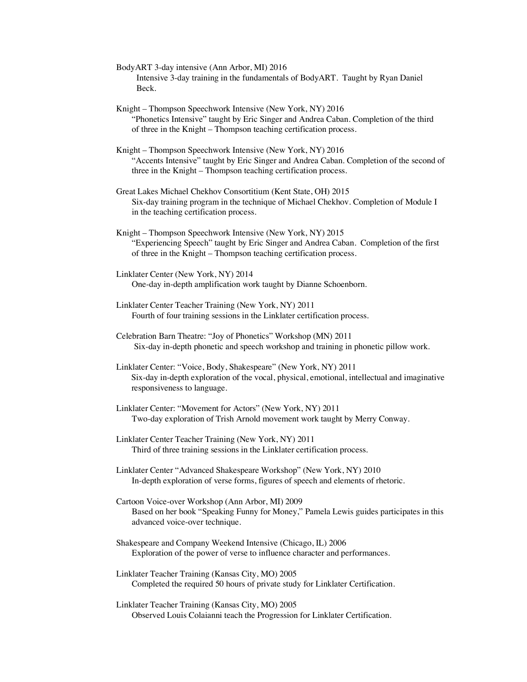BodyART 3-day intensive (Ann Arbor, MI) 2016 Intensive 3-day training in the fundamentals of BodyART. Taught by Ryan Daniel Beck.

Knight – Thompson Speechwork Intensive (New York, NY) 2016 "Phonetics Intensive" taught by Eric Singer and Andrea Caban. Completion of the third of three in the Knight – Thompson teaching certification process.

Knight – Thompson Speechwork Intensive (New York, NY) 2016 "Accents Intensive" taught by Eric Singer and Andrea Caban. Completion of the second of three in the Knight – Thompson teaching certification process.

Great Lakes Michael Chekhov Consortitium (Kent State, OH) 2015 Six-day training program in the technique of Michael Chekhov. Completion of Module I in the teaching certification process.

Knight – Thompson Speechwork Intensive (New York, NY) 2015 "Experiencing Speech" taught by Eric Singer and Andrea Caban. Completion of the first of three in the Knight – Thompson teaching certification process.

Linklater Center (New York, NY) 2014 One-day in-depth amplification work taught by Dianne Schoenborn.

Linklater Center Teacher Training (New York, NY) 2011 Fourth of four training sessions in the Linklater certification process.

Celebration Barn Theatre: "Joy of Phonetics" Workshop (MN) 2011 Six-day in-depth phonetic and speech workshop and training in phonetic pillow work.

 Linklater Center: "Voice, Body, Shakespeare" (New York, NY) 2011 Six-day in-depth exploration of the vocal, physical, emotional, intellectual and imaginative responsiveness to language.

 Linklater Center: "Movement for Actors" (New York, NY) 2011 Two-day exploration of Trish Arnold movement work taught by Merry Conway.

 Linklater Center Teacher Training (New York, NY) 2011 Third of three training sessions in the Linklater certification process.

 Linklater Center "Advanced Shakespeare Workshop" (New York, NY) 2010 In-depth exploration of verse forms, figures of speech and elements of rhetoric.

- Cartoon Voice-over Workshop (Ann Arbor, MI) 2009 Based on her book "Speaking Funny for Money," Pamela Lewis guides participates in this advanced voice-over technique.
- Shakespeare and Company Weekend Intensive (Chicago, IL) 2006 Exploration of the power of verse to influence character and performances.

Linklater Teacher Training (Kansas City, MO) 2005 Completed the required 50 hours of private study for Linklater Certification.

 Linklater Teacher Training (Kansas City, MO) 2005 Observed Louis Colaianni teach the Progression for Linklater Certification.